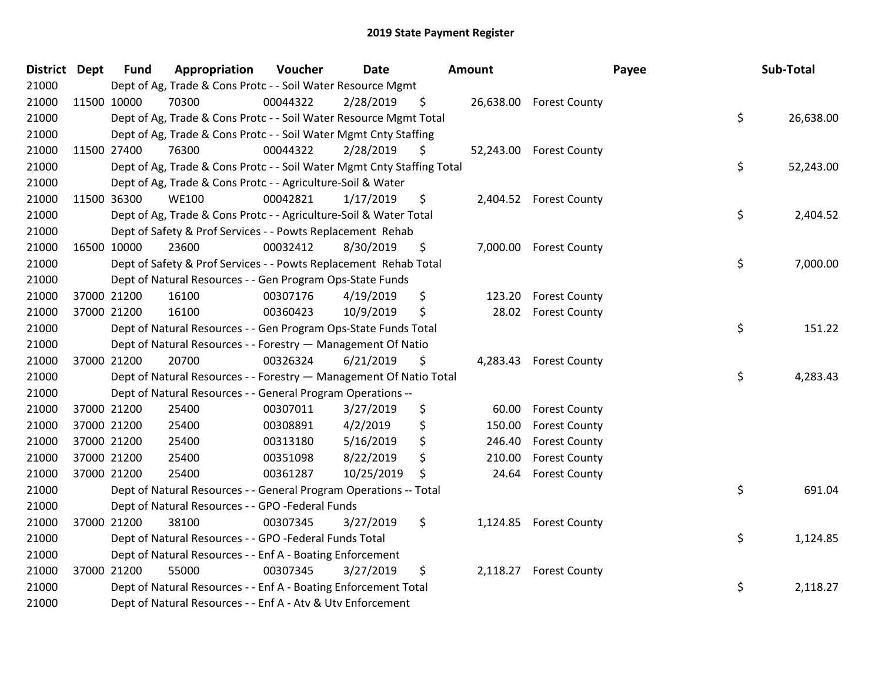| <b>District Dept</b> | <b>Fund</b> | Appropriation                                                          | Voucher  | <b>Date</b> | Amount |        |                         | Payee | Sub-Total |
|----------------------|-------------|------------------------------------------------------------------------|----------|-------------|--------|--------|-------------------------|-------|-----------|
| 21000                |             | Dept of Ag, Trade & Cons Protc - - Soil Water Resource Mgmt            |          |             |        |        |                         |       |           |
| 21000                | 11500 10000 | 70300                                                                  | 00044322 | 2/28/2019   | \$     |        | 26,638.00 Forest County |       |           |
| 21000                |             | Dept of Ag, Trade & Cons Protc - - Soil Water Resource Mgmt Total      |          |             |        |        |                         | \$    | 26,638.00 |
| 21000                |             | Dept of Ag, Trade & Cons Protc - - Soil Water Mgmt Cnty Staffing       |          |             |        |        |                         |       |           |
| 21000                | 11500 27400 | 76300                                                                  | 00044322 | 2/28/2019   | \$     |        | 52,243.00 Forest County |       |           |
| 21000                |             | Dept of Ag, Trade & Cons Protc - - Soil Water Mgmt Cnty Staffing Total |          |             |        |        |                         | \$    | 52,243.00 |
| 21000                |             | Dept of Ag, Trade & Cons Protc - - Agriculture-Soil & Water            |          |             |        |        |                         |       |           |
| 21000                | 11500 36300 | <b>WE100</b>                                                           | 00042821 | 1/17/2019   | \$     |        | 2,404.52 Forest County  |       |           |
| 21000                |             | Dept of Ag, Trade & Cons Protc - - Agriculture-Soil & Water Total      |          |             |        |        |                         | \$    | 2,404.52  |
| 21000                |             | Dept of Safety & Prof Services - - Powts Replacement Rehab             |          |             |        |        |                         |       |           |
| 21000                | 16500 10000 | 23600                                                                  | 00032412 | 8/30/2019   | \$     |        | 7,000.00 Forest County  |       |           |
| 21000                |             | Dept of Safety & Prof Services - - Powts Replacement Rehab Total       |          |             |        |        |                         | \$    | 7,000.00  |
| 21000                |             | Dept of Natural Resources - - Gen Program Ops-State Funds              |          |             |        |        |                         |       |           |
| 21000                | 37000 21200 | 16100                                                                  | 00307176 | 4/19/2019   | \$     | 123.20 | <b>Forest County</b>    |       |           |
| 21000                | 37000 21200 | 16100                                                                  | 00360423 | 10/9/2019   | \$     | 28.02  | <b>Forest County</b>    |       |           |
| 21000                |             | Dept of Natural Resources - - Gen Program Ops-State Funds Total        |          |             |        |        |                         | \$    | 151.22    |
| 21000                |             | Dept of Natural Resources - - Forestry - Management Of Natio           |          |             |        |        |                         |       |           |
| 21000                | 37000 21200 | 20700                                                                  | 00326324 | 6/21/2019   | \$     |        | 4,283.43 Forest County  |       |           |
| 21000                |             | Dept of Natural Resources - - Forestry - Management Of Natio Total     |          |             |        |        |                         | \$    | 4,283.43  |
| 21000                |             | Dept of Natural Resources - - General Program Operations --            |          |             |        |        |                         |       |           |
| 21000                | 37000 21200 | 25400                                                                  | 00307011 | 3/27/2019   | \$     | 60.00  | <b>Forest County</b>    |       |           |
| 21000                | 37000 21200 | 25400                                                                  | 00308891 | 4/2/2019    | \$     | 150.00 | <b>Forest County</b>    |       |           |
| 21000                | 37000 21200 | 25400                                                                  | 00313180 | 5/16/2019   | \$     | 246.40 | <b>Forest County</b>    |       |           |
| 21000                | 37000 21200 | 25400                                                                  | 00351098 | 8/22/2019   | \$     | 210.00 | <b>Forest County</b>    |       |           |
| 21000                | 37000 21200 | 25400                                                                  | 00361287 | 10/25/2019  | \$     | 24.64  | <b>Forest County</b>    |       |           |
| 21000                |             | Dept of Natural Resources - - General Program Operations -- Total      |          |             |        |        |                         | \$    | 691.04    |
| 21000                |             | Dept of Natural Resources - - GPO -Federal Funds                       |          |             |        |        |                         |       |           |
| 21000                | 37000 21200 | 38100                                                                  | 00307345 | 3/27/2019   | \$     |        | 1,124.85 Forest County  |       |           |
| 21000                |             | Dept of Natural Resources - - GPO -Federal Funds Total                 |          |             |        |        |                         | \$    | 1,124.85  |
| 21000                |             | Dept of Natural Resources - - Enf A - Boating Enforcement              |          |             |        |        |                         |       |           |
| 21000                | 37000 21200 | 55000                                                                  | 00307345 | 3/27/2019   | \$     |        | 2,118.27 Forest County  |       |           |
| 21000                |             | Dept of Natural Resources - - Enf A - Boating Enforcement Total        |          |             |        |        |                         | \$    | 2,118.27  |
| 21000                |             | Dept of Natural Resources - - Enf A - Atv & Utv Enforcement            |          |             |        |        |                         |       |           |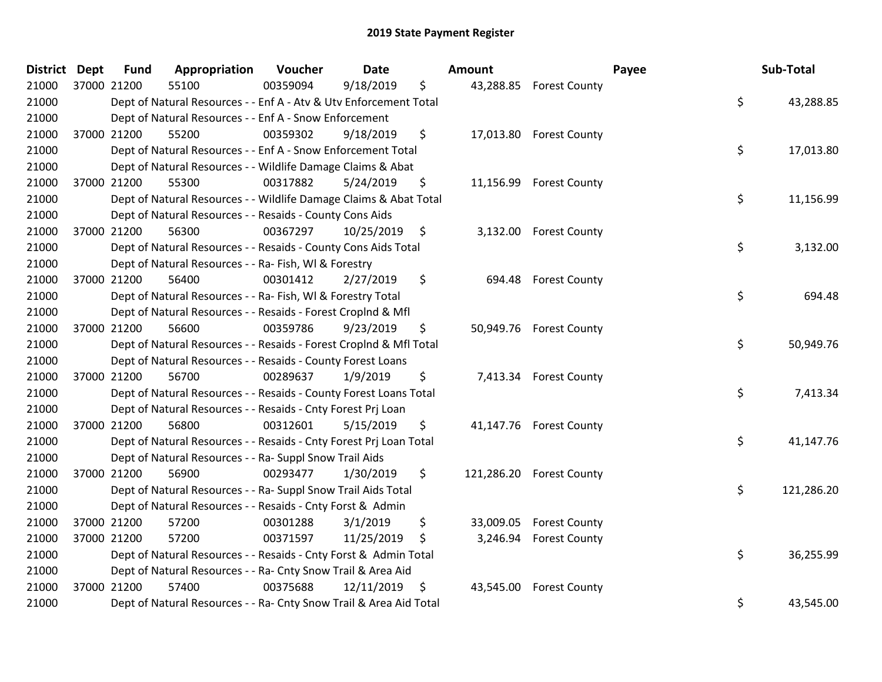| District Dept |             | <b>Fund</b> | Appropriation                                                      | Voucher  | <b>Date</b>   | <b>Amount</b> |                          | Payee | Sub-Total  |
|---------------|-------------|-------------|--------------------------------------------------------------------|----------|---------------|---------------|--------------------------|-------|------------|
| 21000         | 37000 21200 |             | 55100                                                              | 00359094 | 9/18/2019     | \$            | 43,288.85 Forest County  |       |            |
| 21000         |             |             | Dept of Natural Resources - - Enf A - Atv & Utv Enforcement Total  |          |               |               |                          | \$    | 43,288.85  |
| 21000         |             |             | Dept of Natural Resources - - Enf A - Snow Enforcement             |          |               |               |                          |       |            |
| 21000         |             | 37000 21200 | 55200                                                              | 00359302 | 9/18/2019     | \$            | 17,013.80 Forest County  |       |            |
| 21000         |             |             | Dept of Natural Resources - - Enf A - Snow Enforcement Total       |          |               |               |                          | \$    | 17,013.80  |
| 21000         |             |             | Dept of Natural Resources - - Wildlife Damage Claims & Abat        |          |               |               |                          |       |            |
| 21000         | 37000 21200 |             | 55300                                                              | 00317882 | 5/24/2019     | \$            | 11,156.99 Forest County  |       |            |
| 21000         |             |             | Dept of Natural Resources - - Wildlife Damage Claims & Abat Total  |          |               |               |                          | \$    | 11,156.99  |
| 21000         |             |             | Dept of Natural Resources - - Resaids - County Cons Aids           |          |               |               |                          |       |            |
| 21000         | 37000 21200 |             | 56300                                                              | 00367297 | 10/25/2019 \$ |               | 3,132.00 Forest County   |       |            |
| 21000         |             |             | Dept of Natural Resources - - Resaids - County Cons Aids Total     |          |               |               |                          | \$    | 3,132.00   |
| 21000         |             |             | Dept of Natural Resources - - Ra- Fish, WI & Forestry              |          |               |               |                          |       |            |
| 21000         |             | 37000 21200 | 56400                                                              | 00301412 | 2/27/2019     | \$            | 694.48 Forest County     |       |            |
| 21000         |             |             | Dept of Natural Resources - - Ra- Fish, WI & Forestry Total        |          |               |               |                          | \$    | 694.48     |
| 21000         |             |             | Dept of Natural Resources - - Resaids - Forest Croplnd & Mfl       |          |               |               |                          |       |            |
| 21000         |             | 37000 21200 | 56600                                                              | 00359786 | 9/23/2019     | \$            | 50,949.76 Forest County  |       |            |
| 21000         |             |             | Dept of Natural Resources - - Resaids - Forest Croplnd & Mfl Total |          |               |               |                          | \$    | 50,949.76  |
| 21000         |             |             | Dept of Natural Resources - - Resaids - County Forest Loans        |          |               |               |                          |       |            |
| 21000         |             | 37000 21200 | 56700                                                              | 00289637 | 1/9/2019      | \$            | 7,413.34 Forest County   |       |            |
| 21000         |             |             | Dept of Natural Resources - - Resaids - County Forest Loans Total  |          |               |               |                          | \$    | 7,413.34   |
| 21000         |             |             | Dept of Natural Resources - - Resaids - Cnty Forest Prj Loan       |          |               |               |                          |       |            |
| 21000         | 37000 21200 |             | 56800                                                              | 00312601 | 5/15/2019     | \$            | 41,147.76 Forest County  |       |            |
| 21000         |             |             | Dept of Natural Resources - - Resaids - Cnty Forest Prj Loan Total |          |               |               |                          | \$    | 41,147.76  |
| 21000         |             |             | Dept of Natural Resources - - Ra- Suppl Snow Trail Aids            |          |               |               |                          |       |            |
| 21000         |             | 37000 21200 | 56900                                                              | 00293477 | 1/30/2019     | \$            | 121,286.20 Forest County |       |            |
| 21000         |             |             | Dept of Natural Resources - - Ra- Suppl Snow Trail Aids Total      |          |               |               |                          | \$    | 121,286.20 |
| 21000         |             |             | Dept of Natural Resources - - Resaids - Cnty Forst & Admin         |          |               |               |                          |       |            |
| 21000         |             | 37000 21200 | 57200                                                              | 00301288 | 3/1/2019      | \$            | 33,009.05 Forest County  |       |            |
| 21000         | 37000 21200 |             | 57200                                                              | 00371597 | 11/25/2019    | \$            | 3,246.94 Forest County   |       |            |
| 21000         |             |             | Dept of Natural Resources - - Resaids - Cnty Forst & Admin Total   |          |               |               |                          | \$    | 36,255.99  |
| 21000         |             |             | Dept of Natural Resources - - Ra- Cnty Snow Trail & Area Aid       |          |               |               |                          |       |            |
| 21000         | 37000 21200 |             | 57400                                                              | 00375688 | 12/11/2019    | \$            | 43,545.00 Forest County  |       |            |
| 21000         |             |             | Dept of Natural Resources - - Ra- Cnty Snow Trail & Area Aid Total |          |               |               |                          | \$    | 43,545.00  |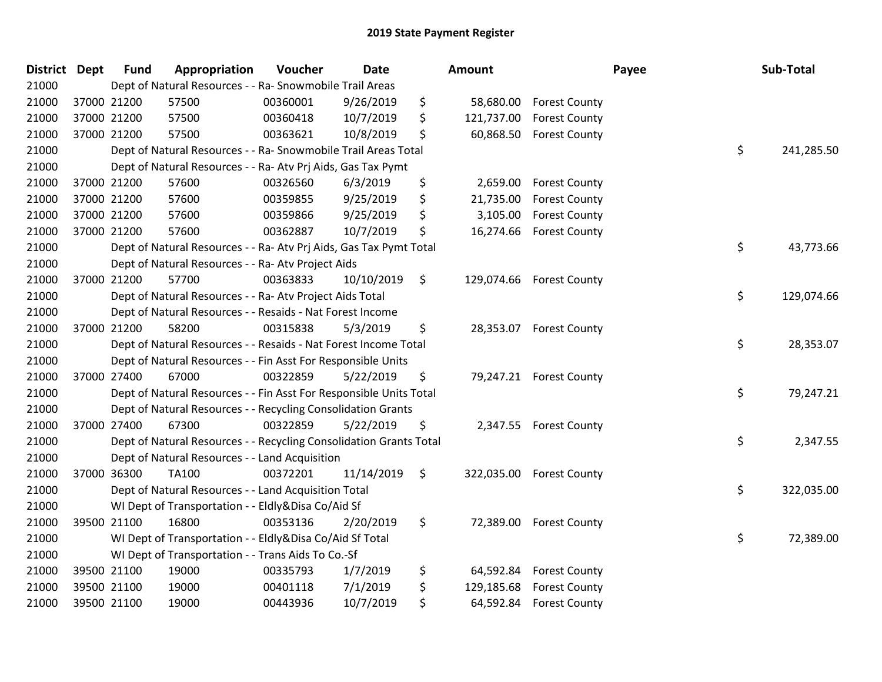| <b>District</b> | <b>Dept</b> | <b>Fund</b> | Appropriation                                                      | Voucher  | Date       | Amount           |                          | Payee | Sub-Total  |
|-----------------|-------------|-------------|--------------------------------------------------------------------|----------|------------|------------------|--------------------------|-------|------------|
| 21000           |             |             | Dept of Natural Resources - - Ra- Snowmobile Trail Areas           |          |            |                  |                          |       |            |
| 21000           | 37000 21200 |             | 57500                                                              | 00360001 | 9/26/2019  | \$               | 58,680.00 Forest County  |       |            |
| 21000           | 37000 21200 |             | 57500                                                              | 00360418 | 10/7/2019  | \$<br>121,737.00 | <b>Forest County</b>     |       |            |
| 21000           | 37000 21200 |             | 57500                                                              | 00363621 | 10/8/2019  | \$<br>60,868.50  | <b>Forest County</b>     |       |            |
| 21000           |             |             | Dept of Natural Resources - - Ra- Snowmobile Trail Areas Total     |          |            |                  |                          | \$    | 241,285.50 |
| 21000           |             |             | Dept of Natural Resources - - Ra- Atv Prj Aids, Gas Tax Pymt       |          |            |                  |                          |       |            |
| 21000           | 37000 21200 |             | 57600                                                              | 00326560 | 6/3/2019   | \$<br>2,659.00   | <b>Forest County</b>     |       |            |
| 21000           | 37000 21200 |             | 57600                                                              | 00359855 | 9/25/2019  | \$<br>21,735.00  | <b>Forest County</b>     |       |            |
| 21000           | 37000 21200 |             | 57600                                                              | 00359866 | 9/25/2019  | \$<br>3,105.00   | <b>Forest County</b>     |       |            |
| 21000           | 37000 21200 |             | 57600                                                              | 00362887 | 10/7/2019  | \$<br>16,274.66  | <b>Forest County</b>     |       |            |
| 21000           |             |             | Dept of Natural Resources - - Ra- Atv Prj Aids, Gas Tax Pymt Total |          |            |                  |                          | \$    | 43,773.66  |
| 21000           |             |             | Dept of Natural Resources - - Ra- Atv Project Aids                 |          |            |                  |                          |       |            |
| 21000           | 37000 21200 |             | 57700                                                              | 00363833 | 10/10/2019 | \$               | 129,074.66 Forest County |       |            |
| 21000           |             |             | Dept of Natural Resources - - Ra- Atv Project Aids Total           |          |            |                  |                          | \$    | 129,074.66 |
| 21000           |             |             | Dept of Natural Resources - - Resaids - Nat Forest Income          |          |            |                  |                          |       |            |
| 21000           | 37000 21200 |             | 58200                                                              | 00315838 | 5/3/2019   | \$               | 28,353.07 Forest County  |       |            |
| 21000           |             |             | Dept of Natural Resources - - Resaids - Nat Forest Income Total    |          |            |                  |                          | \$    | 28,353.07  |
| 21000           |             |             | Dept of Natural Resources - - Fin Asst For Responsible Units       |          |            |                  |                          |       |            |
| 21000           | 37000 27400 |             | 67000                                                              | 00322859 | 5/22/2019  | \$               | 79,247.21 Forest County  |       |            |
| 21000           |             |             | Dept of Natural Resources - - Fin Asst For Responsible Units Total |          |            |                  |                          | \$    | 79,247.21  |
| 21000           |             |             | Dept of Natural Resources - - Recycling Consolidation Grants       |          |            |                  |                          |       |            |
| 21000           | 37000 27400 |             | 67300                                                              | 00322859 | 5/22/2019  | \$               | 2,347.55 Forest County   |       |            |
| 21000           |             |             | Dept of Natural Resources - - Recycling Consolidation Grants Total |          |            |                  |                          | \$    | 2,347.55   |
| 21000           |             |             | Dept of Natural Resources - - Land Acquisition                     |          |            |                  |                          |       |            |
| 21000           | 37000 36300 |             | <b>TA100</b>                                                       | 00372201 | 11/14/2019 | \$               | 322,035.00 Forest County |       |            |
| 21000           |             |             | Dept of Natural Resources - - Land Acquisition Total               |          |            |                  |                          | \$    | 322,035.00 |
| 21000           |             |             | WI Dept of Transportation - - Eldly&Disa Co/Aid Sf                 |          |            |                  |                          |       |            |
| 21000           | 39500 21100 |             | 16800                                                              | 00353136 | 2/20/2019  | \$               | 72,389.00 Forest County  |       |            |
| 21000           |             |             | WI Dept of Transportation - - Eldly&Disa Co/Aid Sf Total           |          |            |                  |                          | \$    | 72,389.00  |
| 21000           |             |             | WI Dept of Transportation - - Trans Aids To Co.-Sf                 |          |            |                  |                          |       |            |
| 21000           | 39500 21100 |             | 19000                                                              | 00335793 | 1/7/2019   | \$<br>64,592.84  | <b>Forest County</b>     |       |            |
| 21000           | 39500 21100 |             | 19000                                                              | 00401118 | 7/1/2019   | \$<br>129,185.68 | <b>Forest County</b>     |       |            |
| 21000           | 39500 21100 |             | 19000                                                              | 00443936 | 10/7/2019  | \$               | 64,592.84 Forest County  |       |            |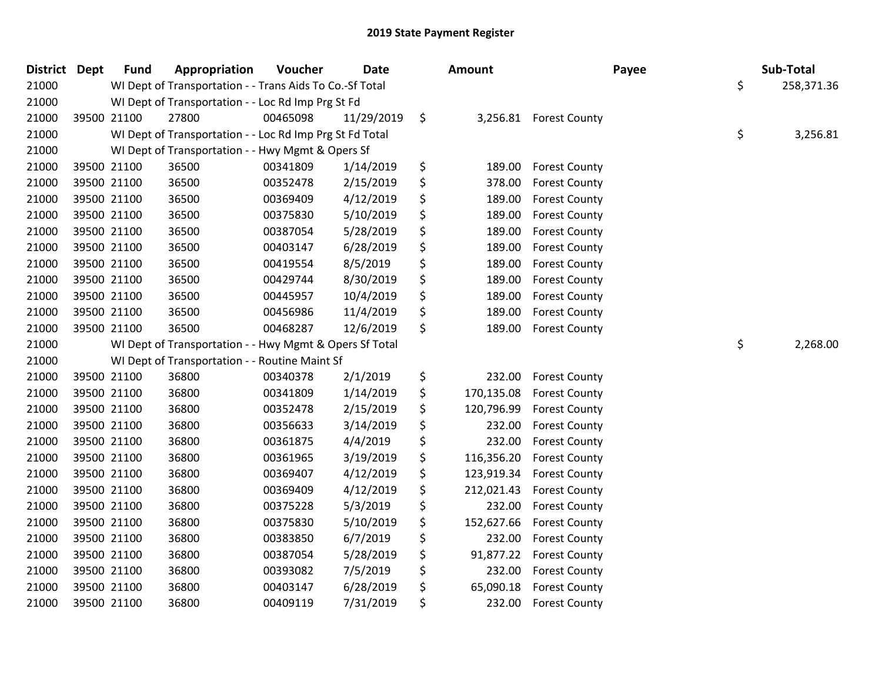| <b>District Dept</b> | <b>Fund</b> | Appropriation                                            | Voucher  | <b>Date</b> | <b>Amount</b>    |                      | Payee | Sub-Total        |
|----------------------|-------------|----------------------------------------------------------|----------|-------------|------------------|----------------------|-------|------------------|
| 21000                |             | WI Dept of Transportation - - Trans Aids To Co.-Sf Total |          |             |                  |                      |       | \$<br>258,371.36 |
| 21000                |             | WI Dept of Transportation - - Loc Rd Imp Prg St Fd       |          |             |                  |                      |       |                  |
| 21000                | 39500 21100 | 27800                                                    | 00465098 | 11/29/2019  | \$<br>3,256.81   | <b>Forest County</b> |       |                  |
| 21000                |             | WI Dept of Transportation - - Loc Rd Imp Prg St Fd Total |          |             |                  |                      |       | \$<br>3,256.81   |
| 21000                |             | WI Dept of Transportation - - Hwy Mgmt & Opers Sf        |          |             |                  |                      |       |                  |
| 21000                | 39500 21100 | 36500                                                    | 00341809 | 1/14/2019   | \$<br>189.00     | <b>Forest County</b> |       |                  |
| 21000                | 39500 21100 | 36500                                                    | 00352478 | 2/15/2019   | \$<br>378.00     | <b>Forest County</b> |       |                  |
| 21000                | 39500 21100 | 36500                                                    | 00369409 | 4/12/2019   | \$<br>189.00     | <b>Forest County</b> |       |                  |
| 21000                | 39500 21100 | 36500                                                    | 00375830 | 5/10/2019   | \$<br>189.00     | <b>Forest County</b> |       |                  |
| 21000                | 39500 21100 | 36500                                                    | 00387054 | 5/28/2019   | \$<br>189.00     | <b>Forest County</b> |       |                  |
| 21000                | 39500 21100 | 36500                                                    | 00403147 | 6/28/2019   | \$<br>189.00     | <b>Forest County</b> |       |                  |
| 21000                | 39500 21100 | 36500                                                    | 00419554 | 8/5/2019    | \$<br>189.00     | <b>Forest County</b> |       |                  |
| 21000                | 39500 21100 | 36500                                                    | 00429744 | 8/30/2019   | \$<br>189.00     | <b>Forest County</b> |       |                  |
| 21000                | 39500 21100 | 36500                                                    | 00445957 | 10/4/2019   | \$<br>189.00     | <b>Forest County</b> |       |                  |
| 21000                | 39500 21100 | 36500                                                    | 00456986 | 11/4/2019   | \$<br>189.00     | <b>Forest County</b> |       |                  |
| 21000                | 39500 21100 | 36500                                                    | 00468287 | 12/6/2019   | \$<br>189.00     | <b>Forest County</b> |       |                  |
| 21000                |             | WI Dept of Transportation - - Hwy Mgmt & Opers Sf Total  |          |             |                  |                      |       | \$<br>2,268.00   |
| 21000                |             | WI Dept of Transportation - - Routine Maint Sf           |          |             |                  |                      |       |                  |
| 21000                | 39500 21100 | 36800                                                    | 00340378 | 2/1/2019    | \$<br>232.00     | <b>Forest County</b> |       |                  |
| 21000                | 39500 21100 | 36800                                                    | 00341809 | 1/14/2019   | \$<br>170,135.08 | <b>Forest County</b> |       |                  |
| 21000                | 39500 21100 | 36800                                                    | 00352478 | 2/15/2019   | \$<br>120,796.99 | <b>Forest County</b> |       |                  |
| 21000                | 39500 21100 | 36800                                                    | 00356633 | 3/14/2019   | \$<br>232.00     | <b>Forest County</b> |       |                  |
| 21000                | 39500 21100 | 36800                                                    | 00361875 | 4/4/2019    | \$<br>232.00     | <b>Forest County</b> |       |                  |
| 21000                | 39500 21100 | 36800                                                    | 00361965 | 3/19/2019   | \$<br>116,356.20 | <b>Forest County</b> |       |                  |
| 21000                | 39500 21100 | 36800                                                    | 00369407 | 4/12/2019   | \$<br>123,919.34 | <b>Forest County</b> |       |                  |
| 21000                | 39500 21100 | 36800                                                    | 00369409 | 4/12/2019   | \$<br>212,021.43 | <b>Forest County</b> |       |                  |
| 21000                | 39500 21100 | 36800                                                    | 00375228 | 5/3/2019    | \$<br>232.00     | <b>Forest County</b> |       |                  |
| 21000                | 39500 21100 | 36800                                                    | 00375830 | 5/10/2019   | \$<br>152,627.66 | <b>Forest County</b> |       |                  |
| 21000                | 39500 21100 | 36800                                                    | 00383850 | 6/7/2019    | \$<br>232.00     | <b>Forest County</b> |       |                  |
| 21000                | 39500 21100 | 36800                                                    | 00387054 | 5/28/2019   | \$<br>91,877.22  | <b>Forest County</b> |       |                  |
| 21000                | 39500 21100 | 36800                                                    | 00393082 | 7/5/2019    | \$<br>232.00     | <b>Forest County</b> |       |                  |
| 21000                | 39500 21100 | 36800                                                    | 00403147 | 6/28/2019   | \$<br>65,090.18  | <b>Forest County</b> |       |                  |
| 21000                | 39500 21100 | 36800                                                    | 00409119 | 7/31/2019   | \$<br>232.00     | <b>Forest County</b> |       |                  |
|                      |             |                                                          |          |             |                  |                      |       |                  |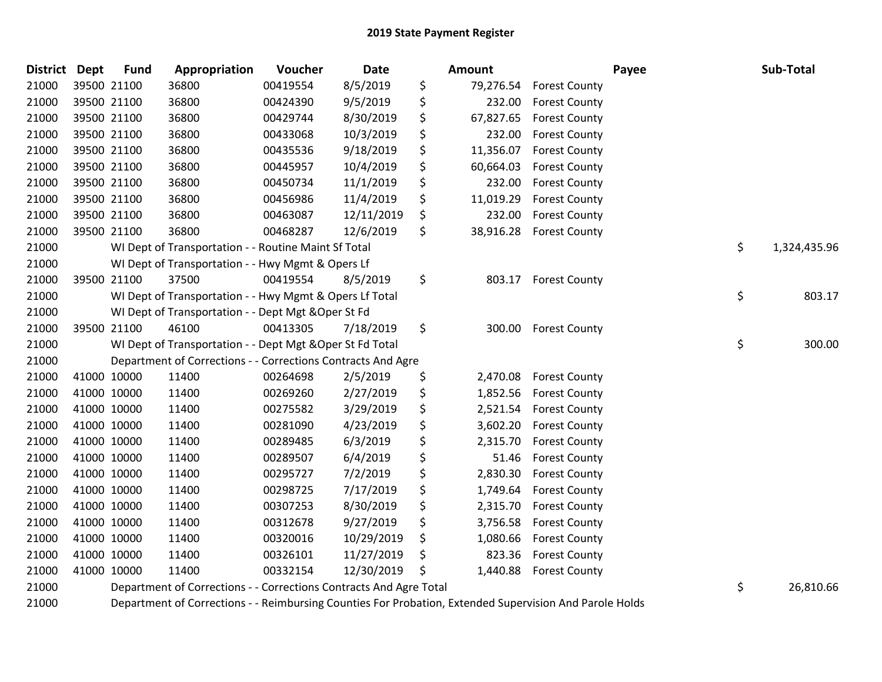| District Dept |             | <b>Fund</b> | Appropriation                                                      | Voucher  | Date       | <b>Amount</b>   |                        | Payee | Sub-Total    |
|---------------|-------------|-------------|--------------------------------------------------------------------|----------|------------|-----------------|------------------------|-------|--------------|
| 21000         | 39500 21100 |             | 36800                                                              | 00419554 | 8/5/2019   | \$<br>79,276.54 | <b>Forest County</b>   |       |              |
| 21000         | 39500 21100 |             | 36800                                                              | 00424390 | 9/5/2019   | \$<br>232.00    | <b>Forest County</b>   |       |              |
| 21000         | 39500 21100 |             | 36800                                                              | 00429744 | 8/30/2019  | \$<br>67,827.65 | <b>Forest County</b>   |       |              |
| 21000         | 39500 21100 |             | 36800                                                              | 00433068 | 10/3/2019  | \$<br>232.00    | <b>Forest County</b>   |       |              |
| 21000         | 39500 21100 |             | 36800                                                              | 00435536 | 9/18/2019  | \$<br>11,356.07 | <b>Forest County</b>   |       |              |
| 21000         | 39500 21100 |             | 36800                                                              | 00445957 | 10/4/2019  | \$<br>60,664.03 | <b>Forest County</b>   |       |              |
| 21000         | 39500 21100 |             | 36800                                                              | 00450734 | 11/1/2019  | \$<br>232.00    | <b>Forest County</b>   |       |              |
| 21000         | 39500 21100 |             | 36800                                                              | 00456986 | 11/4/2019  | \$<br>11,019.29 | <b>Forest County</b>   |       |              |
| 21000         | 39500 21100 |             | 36800                                                              | 00463087 | 12/11/2019 | \$<br>232.00    | <b>Forest County</b>   |       |              |
| 21000         | 39500 21100 |             | 36800                                                              | 00468287 | 12/6/2019  | \$<br>38,916.28 | <b>Forest County</b>   |       |              |
| 21000         |             |             | WI Dept of Transportation - - Routine Maint Sf Total               |          |            |                 |                        | \$    | 1,324,435.96 |
| 21000         |             |             | WI Dept of Transportation - - Hwy Mgmt & Opers Lf                  |          |            |                 |                        |       |              |
| 21000         |             | 39500 21100 | 37500                                                              | 00419554 | 8/5/2019   | \$<br>803.17    | <b>Forest County</b>   |       |              |
| 21000         |             |             | WI Dept of Transportation - - Hwy Mgmt & Opers Lf Total            |          |            |                 |                        | \$    | 803.17       |
| 21000         |             |             | WI Dept of Transportation - - Dept Mgt & Oper St Fd                |          |            |                 |                        |       |              |
| 21000         | 39500 21100 |             | 46100                                                              | 00413305 | 7/18/2019  | \$<br>300.00    | <b>Forest County</b>   |       |              |
| 21000         |             |             | WI Dept of Transportation - - Dept Mgt & Oper St Fd Total          |          |            |                 |                        | \$    | 300.00       |
| 21000         |             |             | Department of Corrections - - Corrections Contracts And Agre       |          |            |                 |                        |       |              |
| 21000         | 41000 10000 |             | 11400                                                              | 00264698 | 2/5/2019   | \$              | 2,470.08 Forest County |       |              |
| 21000         | 41000 10000 |             | 11400                                                              | 00269260 | 2/27/2019  | \$<br>1,852.56  | <b>Forest County</b>   |       |              |
| 21000         | 41000 10000 |             | 11400                                                              | 00275582 | 3/29/2019  | \$<br>2,521.54  | <b>Forest County</b>   |       |              |
| 21000         | 41000 10000 |             | 11400                                                              | 00281090 | 4/23/2019  | \$<br>3,602.20  | <b>Forest County</b>   |       |              |
| 21000         | 41000 10000 |             | 11400                                                              | 00289485 | 6/3/2019   | \$<br>2,315.70  | <b>Forest County</b>   |       |              |
| 21000         | 41000 10000 |             | 11400                                                              | 00289507 | 6/4/2019   | \$<br>51.46     | <b>Forest County</b>   |       |              |
| 21000         | 41000 10000 |             | 11400                                                              | 00295727 | 7/2/2019   | \$<br>2,830.30  | <b>Forest County</b>   |       |              |
| 21000         | 41000 10000 |             | 11400                                                              | 00298725 | 7/17/2019  | \$<br>1,749.64  | <b>Forest County</b>   |       |              |
| 21000         | 41000 10000 |             | 11400                                                              | 00307253 | 8/30/2019  | \$<br>2,315.70  | <b>Forest County</b>   |       |              |
| 21000         | 41000 10000 |             | 11400                                                              | 00312678 | 9/27/2019  | \$<br>3,756.58  | <b>Forest County</b>   |       |              |
| 21000         | 41000 10000 |             | 11400                                                              | 00320016 | 10/29/2019 | \$<br>1,080.66  | <b>Forest County</b>   |       |              |
| 21000         | 41000 10000 |             | 11400                                                              | 00326101 | 11/27/2019 | \$<br>823.36    | <b>Forest County</b>   |       |              |
| 21000         | 41000 10000 |             | 11400                                                              | 00332154 | 12/30/2019 | \$<br>1,440.88  | <b>Forest County</b>   |       |              |
| 21000         |             |             | Department of Corrections - - Corrections Contracts And Agre Total |          |            |                 |                        | \$    | 26,810.66    |
|               |             |             |                                                                    |          |            | - - - - -       |                        |       |              |

Department of Corrections - - Reimbursing Counties For Probation, Extended Supervision And Parole Holds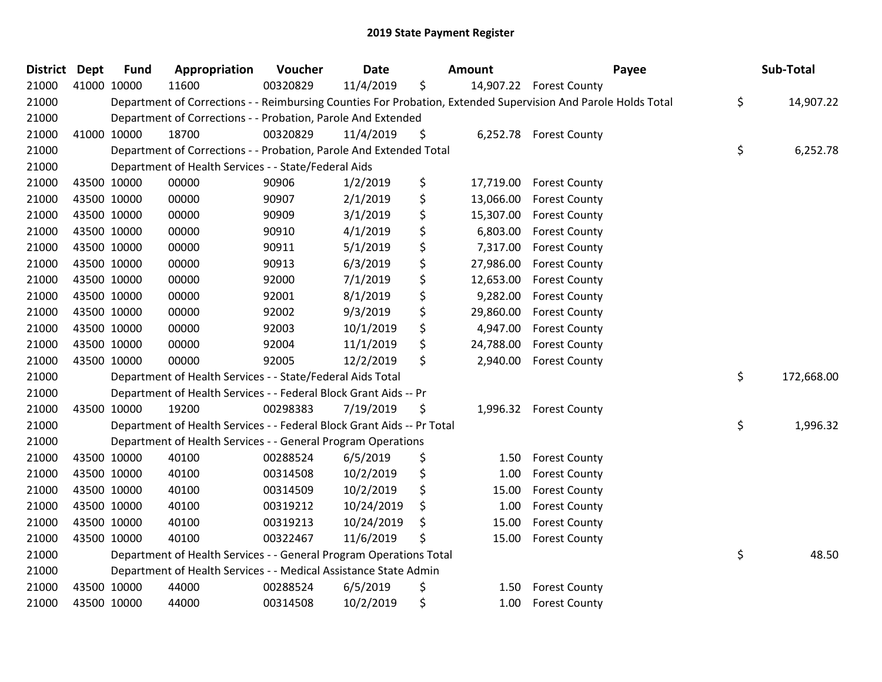| District Dept |             | <b>Fund</b> | Appropriation                                                          | Voucher  | Date       | <b>Amount</b>   | Payee                                                                                                         | Sub-Total        |
|---------------|-------------|-------------|------------------------------------------------------------------------|----------|------------|-----------------|---------------------------------------------------------------------------------------------------------------|------------------|
| 21000         |             | 41000 10000 | 11600                                                                  | 00320829 | 11/4/2019  | \$              | 14,907.22 Forest County                                                                                       |                  |
| 21000         |             |             |                                                                        |          |            |                 | Department of Corrections - - Reimbursing Counties For Probation, Extended Supervision And Parole Holds Total | \$<br>14,907.22  |
| 21000         |             |             | Department of Corrections - - Probation, Parole And Extended           |          |            |                 |                                                                                                               |                  |
| 21000         |             | 41000 10000 | 18700                                                                  | 00320829 | 11/4/2019  | \$              | 6,252.78 Forest County                                                                                        |                  |
| 21000         |             |             | Department of Corrections - - Probation, Parole And Extended Total     |          |            |                 |                                                                                                               | \$<br>6,252.78   |
| 21000         |             |             | Department of Health Services - - State/Federal Aids                   |          |            |                 |                                                                                                               |                  |
| 21000         |             | 43500 10000 | 00000                                                                  | 90906    | 1/2/2019   | \$<br>17,719.00 | <b>Forest County</b>                                                                                          |                  |
| 21000         |             | 43500 10000 | 00000                                                                  | 90907    | 2/1/2019   | \$<br>13,066.00 | <b>Forest County</b>                                                                                          |                  |
| 21000         | 43500 10000 |             | 00000                                                                  | 90909    | 3/1/2019   | \$<br>15,307.00 | <b>Forest County</b>                                                                                          |                  |
| 21000         |             | 43500 10000 | 00000                                                                  | 90910    | 4/1/2019   | \$<br>6,803.00  | <b>Forest County</b>                                                                                          |                  |
| 21000         |             | 43500 10000 | 00000                                                                  | 90911    | 5/1/2019   | \$<br>7,317.00  | <b>Forest County</b>                                                                                          |                  |
| 21000         |             | 43500 10000 | 00000                                                                  | 90913    | 6/3/2019   | \$<br>27,986.00 | <b>Forest County</b>                                                                                          |                  |
| 21000         |             | 43500 10000 | 00000                                                                  | 92000    | 7/1/2019   | \$<br>12,653.00 | <b>Forest County</b>                                                                                          |                  |
| 21000         | 43500 10000 |             | 00000                                                                  | 92001    | 8/1/2019   | \$<br>9,282.00  | <b>Forest County</b>                                                                                          |                  |
| 21000         |             | 43500 10000 | 00000                                                                  | 92002    | 9/3/2019   | \$<br>29,860.00 | <b>Forest County</b>                                                                                          |                  |
| 21000         |             | 43500 10000 | 00000                                                                  | 92003    | 10/1/2019  | \$<br>4,947.00  | <b>Forest County</b>                                                                                          |                  |
| 21000         |             | 43500 10000 | 00000                                                                  | 92004    | 11/1/2019  | \$<br>24,788.00 | <b>Forest County</b>                                                                                          |                  |
| 21000         |             | 43500 10000 | 00000                                                                  | 92005    | 12/2/2019  | \$<br>2,940.00  | <b>Forest County</b>                                                                                          |                  |
| 21000         |             |             | Department of Health Services - - State/Federal Aids Total             |          |            |                 |                                                                                                               | \$<br>172,668.00 |
| 21000         |             |             | Department of Health Services - - Federal Block Grant Aids -- Pr       |          |            |                 |                                                                                                               |                  |
| 21000         |             | 43500 10000 | 19200                                                                  | 00298383 | 7/19/2019  | \$              | 1,996.32 Forest County                                                                                        |                  |
| 21000         |             |             | Department of Health Services - - Federal Block Grant Aids -- Pr Total |          |            |                 |                                                                                                               | \$<br>1,996.32   |
| 21000         |             |             | Department of Health Services - - General Program Operations           |          |            |                 |                                                                                                               |                  |
| 21000         |             | 43500 10000 | 40100                                                                  | 00288524 | 6/5/2019   | \$<br>1.50      | <b>Forest County</b>                                                                                          |                  |
| 21000         |             | 43500 10000 | 40100                                                                  | 00314508 | 10/2/2019  | \$<br>1.00      | <b>Forest County</b>                                                                                          |                  |
| 21000         |             | 43500 10000 | 40100                                                                  | 00314509 | 10/2/2019  | \$<br>15.00     | <b>Forest County</b>                                                                                          |                  |
| 21000         |             | 43500 10000 | 40100                                                                  | 00319212 | 10/24/2019 | \$<br>1.00      | <b>Forest County</b>                                                                                          |                  |
| 21000         |             | 43500 10000 | 40100                                                                  | 00319213 | 10/24/2019 | \$<br>15.00     | <b>Forest County</b>                                                                                          |                  |
| 21000         |             | 43500 10000 | 40100                                                                  | 00322467 | 11/6/2019  | \$<br>15.00     | <b>Forest County</b>                                                                                          |                  |
| 21000         |             |             | Department of Health Services - - General Program Operations Total     |          |            |                 |                                                                                                               | \$<br>48.50      |
| 21000         |             |             | Department of Health Services - - Medical Assistance State Admin       |          |            |                 |                                                                                                               |                  |
| 21000         |             | 43500 10000 | 44000                                                                  | 00288524 | 6/5/2019   | \$<br>1.50      | <b>Forest County</b>                                                                                          |                  |
| 21000         |             | 43500 10000 | 44000                                                                  | 00314508 | 10/2/2019  | \$<br>1.00      | <b>Forest County</b>                                                                                          |                  |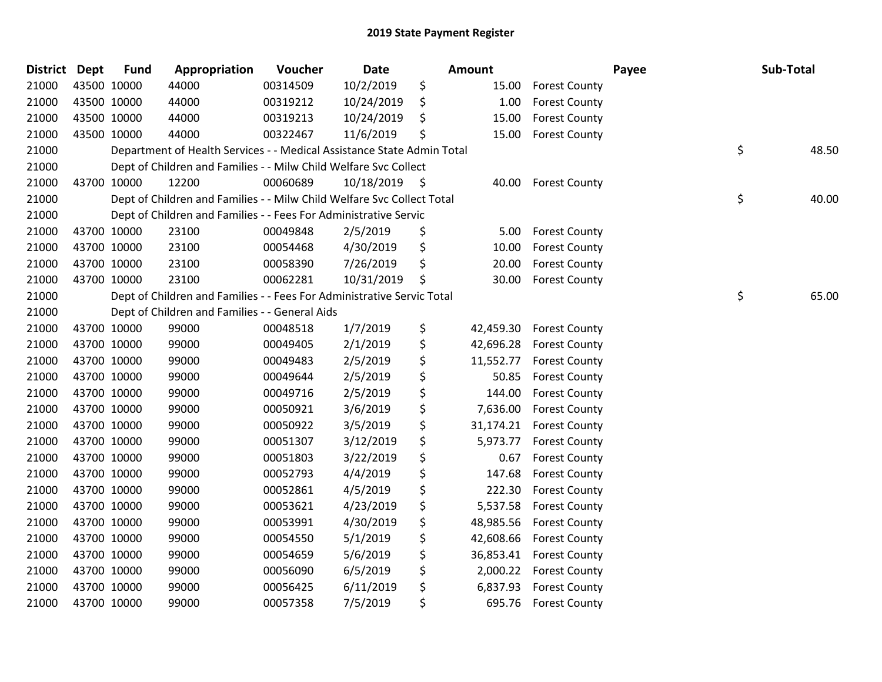| District Dept |             | <b>Fund</b> | Appropriation                                                          | Voucher  | Date       | Amount          |                      | Payee | Sub-Total   |
|---------------|-------------|-------------|------------------------------------------------------------------------|----------|------------|-----------------|----------------------|-------|-------------|
| 21000         |             | 43500 10000 | 44000                                                                  | 00314509 | 10/2/2019  | \$<br>15.00     | <b>Forest County</b> |       |             |
| 21000         |             | 43500 10000 | 44000                                                                  | 00319212 | 10/24/2019 | \$<br>1.00      | <b>Forest County</b> |       |             |
| 21000         |             | 43500 10000 | 44000                                                                  | 00319213 | 10/24/2019 | \$<br>15.00     | <b>Forest County</b> |       |             |
| 21000         |             | 43500 10000 | 44000                                                                  | 00322467 | 11/6/2019  | \$<br>15.00     | <b>Forest County</b> |       |             |
| 21000         |             |             | Department of Health Services - - Medical Assistance State Admin Total |          |            |                 |                      |       | \$<br>48.50 |
| 21000         |             |             | Dept of Children and Families - - Milw Child Welfare Svc Collect       |          |            |                 |                      |       |             |
| 21000         |             | 43700 10000 | 12200                                                                  | 00060689 | 10/18/2019 | \$<br>40.00     | <b>Forest County</b> |       |             |
| 21000         |             |             | Dept of Children and Families - - Milw Child Welfare Svc Collect Total |          |            |                 |                      |       | \$<br>40.00 |
| 21000         |             |             | Dept of Children and Families - - Fees For Administrative Servic       |          |            |                 |                      |       |             |
| 21000         |             | 43700 10000 | 23100                                                                  | 00049848 | 2/5/2019   | \$<br>5.00      | <b>Forest County</b> |       |             |
| 21000         |             | 43700 10000 | 23100                                                                  | 00054468 | 4/30/2019  | \$<br>10.00     | <b>Forest County</b> |       |             |
| 21000         |             | 43700 10000 | 23100                                                                  | 00058390 | 7/26/2019  | \$<br>20.00     | <b>Forest County</b> |       |             |
| 21000         |             | 43700 10000 | 23100                                                                  | 00062281 | 10/31/2019 | \$<br>30.00     | <b>Forest County</b> |       |             |
| 21000         |             |             | Dept of Children and Families - - Fees For Administrative Servic Total |          |            |                 |                      |       | \$<br>65.00 |
| 21000         |             |             | Dept of Children and Families - - General Aids                         |          |            |                 |                      |       |             |
| 21000         |             | 43700 10000 | 99000                                                                  | 00048518 | 1/7/2019   | \$<br>42,459.30 | <b>Forest County</b> |       |             |
| 21000         |             | 43700 10000 | 99000                                                                  | 00049405 | 2/1/2019   | \$<br>42,696.28 | <b>Forest County</b> |       |             |
| 21000         |             | 43700 10000 | 99000                                                                  | 00049483 | 2/5/2019   | \$<br>11,552.77 | <b>Forest County</b> |       |             |
| 21000         |             | 43700 10000 | 99000                                                                  | 00049644 | 2/5/2019   | \$<br>50.85     | <b>Forest County</b> |       |             |
| 21000         |             | 43700 10000 | 99000                                                                  | 00049716 | 2/5/2019   | \$<br>144.00    | <b>Forest County</b> |       |             |
| 21000         |             | 43700 10000 | 99000                                                                  | 00050921 | 3/6/2019   | \$<br>7,636.00  | <b>Forest County</b> |       |             |
| 21000         |             | 43700 10000 | 99000                                                                  | 00050922 | 3/5/2019   | \$<br>31,174.21 | <b>Forest County</b> |       |             |
| 21000         |             | 43700 10000 | 99000                                                                  | 00051307 | 3/12/2019  | \$<br>5,973.77  | <b>Forest County</b> |       |             |
| 21000         |             | 43700 10000 | 99000                                                                  | 00051803 | 3/22/2019  | \$<br>0.67      | <b>Forest County</b> |       |             |
| 21000         |             | 43700 10000 | 99000                                                                  | 00052793 | 4/4/2019   | \$<br>147.68    | <b>Forest County</b> |       |             |
| 21000         |             | 43700 10000 | 99000                                                                  | 00052861 | 4/5/2019   | \$<br>222.30    | <b>Forest County</b> |       |             |
| 21000         |             | 43700 10000 | 99000                                                                  | 00053621 | 4/23/2019  | \$<br>5,537.58  | <b>Forest County</b> |       |             |
| 21000         |             | 43700 10000 | 99000                                                                  | 00053991 | 4/30/2019  | \$<br>48,985.56 | <b>Forest County</b> |       |             |
| 21000         |             | 43700 10000 | 99000                                                                  | 00054550 | 5/1/2019   | \$<br>42,608.66 | <b>Forest County</b> |       |             |
| 21000         |             | 43700 10000 | 99000                                                                  | 00054659 | 5/6/2019   | \$<br>36,853.41 | <b>Forest County</b> |       |             |
| 21000         |             | 43700 10000 | 99000                                                                  | 00056090 | 6/5/2019   | \$<br>2,000.22  | <b>Forest County</b> |       |             |
| 21000         |             | 43700 10000 | 99000                                                                  | 00056425 | 6/11/2019  | \$<br>6,837.93  | <b>Forest County</b> |       |             |
| 21000         | 43700 10000 |             | 99000                                                                  | 00057358 | 7/5/2019   | \$<br>695.76    | <b>Forest County</b> |       |             |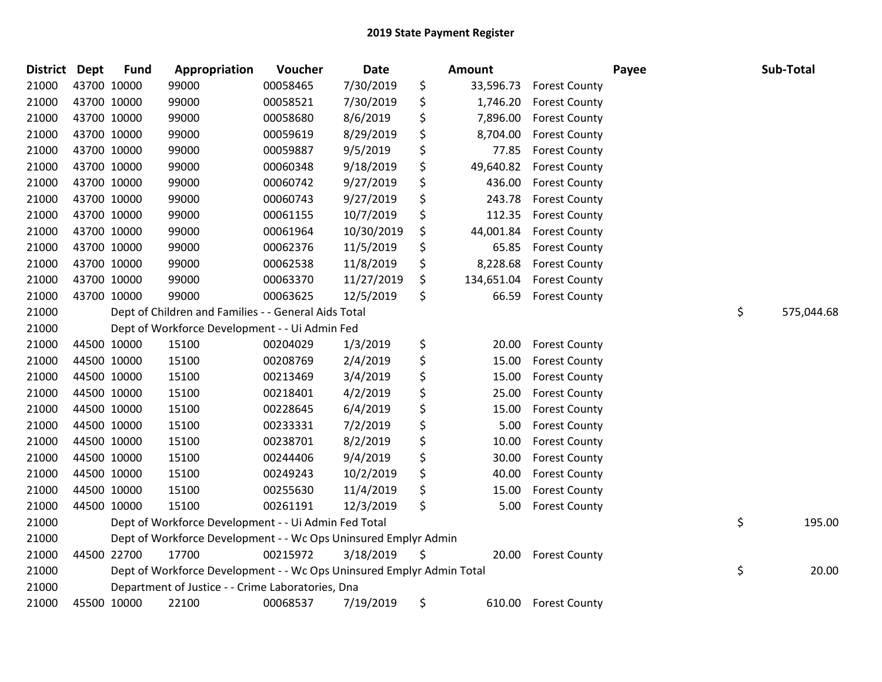| <b>District</b> | <b>Dept</b> | <b>Fund</b> | Appropriation                                                         | Voucher  | <b>Date</b> | Amount           |                      | Payee | Sub-Total        |
|-----------------|-------------|-------------|-----------------------------------------------------------------------|----------|-------------|------------------|----------------------|-------|------------------|
| 21000           |             | 43700 10000 | 99000                                                                 | 00058465 | 7/30/2019   | \$<br>33,596.73  | <b>Forest County</b> |       |                  |
| 21000           | 43700 10000 |             | 99000                                                                 | 00058521 | 7/30/2019   | \$<br>1,746.20   | <b>Forest County</b> |       |                  |
| 21000           | 43700 10000 |             | 99000                                                                 | 00058680 | 8/6/2019    | \$<br>7,896.00   | <b>Forest County</b> |       |                  |
| 21000           | 43700 10000 |             | 99000                                                                 | 00059619 | 8/29/2019   | \$<br>8,704.00   | <b>Forest County</b> |       |                  |
| 21000           | 43700 10000 |             | 99000                                                                 | 00059887 | 9/5/2019    | \$<br>77.85      | <b>Forest County</b> |       |                  |
| 21000           | 43700 10000 |             | 99000                                                                 | 00060348 | 9/18/2019   | \$<br>49,640.82  | <b>Forest County</b> |       |                  |
| 21000           | 43700 10000 |             | 99000                                                                 | 00060742 | 9/27/2019   | \$<br>436.00     | <b>Forest County</b> |       |                  |
| 21000           |             | 43700 10000 | 99000                                                                 | 00060743 | 9/27/2019   | \$<br>243.78     | <b>Forest County</b> |       |                  |
| 21000           | 43700 10000 |             | 99000                                                                 | 00061155 | 10/7/2019   | \$<br>112.35     | <b>Forest County</b> |       |                  |
| 21000           |             | 43700 10000 | 99000                                                                 | 00061964 | 10/30/2019  | \$<br>44,001.84  | <b>Forest County</b> |       |                  |
| 21000           | 43700 10000 |             | 99000                                                                 | 00062376 | 11/5/2019   | \$<br>65.85      | <b>Forest County</b> |       |                  |
| 21000           | 43700 10000 |             | 99000                                                                 | 00062538 | 11/8/2019   | \$<br>8,228.68   | <b>Forest County</b> |       |                  |
| 21000           | 43700 10000 |             | 99000                                                                 | 00063370 | 11/27/2019  | \$<br>134,651.04 | <b>Forest County</b> |       |                  |
| 21000           | 43700 10000 |             | 99000                                                                 | 00063625 | 12/5/2019   | \$<br>66.59      | <b>Forest County</b> |       |                  |
| 21000           |             |             | Dept of Children and Families - - General Aids Total                  |          |             |                  |                      |       | \$<br>575,044.68 |
| 21000           |             |             | Dept of Workforce Development - - Ui Admin Fed                        |          |             |                  |                      |       |                  |
| 21000           |             | 44500 10000 | 15100                                                                 | 00204029 | 1/3/2019    | \$<br>20.00      | <b>Forest County</b> |       |                  |
| 21000           |             | 44500 10000 | 15100                                                                 | 00208769 | 2/4/2019    | \$<br>15.00      | <b>Forest County</b> |       |                  |
| 21000           | 44500 10000 |             | 15100                                                                 | 00213469 | 3/4/2019    | \$<br>15.00      | <b>Forest County</b> |       |                  |
| 21000           |             | 44500 10000 | 15100                                                                 | 00218401 | 4/2/2019    | \$<br>25.00      | <b>Forest County</b> |       |                  |
| 21000           | 44500 10000 |             | 15100                                                                 | 00228645 | 6/4/2019    | \$<br>15.00      | <b>Forest County</b> |       |                  |
| 21000           | 44500 10000 |             | 15100                                                                 | 00233331 | 7/2/2019    | \$<br>5.00       | <b>Forest County</b> |       |                  |
| 21000           | 44500 10000 |             | 15100                                                                 | 00238701 | 8/2/2019    | \$<br>10.00      | <b>Forest County</b> |       |                  |
| 21000           | 44500 10000 |             | 15100                                                                 | 00244406 | 9/4/2019    | \$<br>30.00      | <b>Forest County</b> |       |                  |
| 21000           |             | 44500 10000 | 15100                                                                 | 00249243 | 10/2/2019   | \$<br>40.00      | <b>Forest County</b> |       |                  |
| 21000           |             | 44500 10000 | 15100                                                                 | 00255630 | 11/4/2019   | \$<br>15.00      | <b>Forest County</b> |       |                  |
| 21000           |             | 44500 10000 | 15100                                                                 | 00261191 | 12/3/2019   | \$<br>5.00       | <b>Forest County</b> |       |                  |
| 21000           |             |             | Dept of Workforce Development - - Ui Admin Fed Total                  |          |             |                  |                      |       | \$<br>195.00     |
| 21000           |             |             | Dept of Workforce Development - - Wc Ops Uninsured Emplyr Admin       |          |             |                  |                      |       |                  |
| 21000           |             | 44500 22700 | 17700                                                                 | 00215972 | 3/18/2019   | \$<br>20.00      | <b>Forest County</b> |       |                  |
| 21000           |             |             | Dept of Workforce Development - - Wc Ops Uninsured Emplyr Admin Total |          |             |                  |                      |       | \$<br>20.00      |
| 21000           |             |             | Department of Justice - - Crime Laboratories, Dna                     |          |             |                  |                      |       |                  |
| 21000           |             | 45500 10000 | 22100                                                                 | 00068537 | 7/19/2019   | \$<br>610.00     | <b>Forest County</b> |       |                  |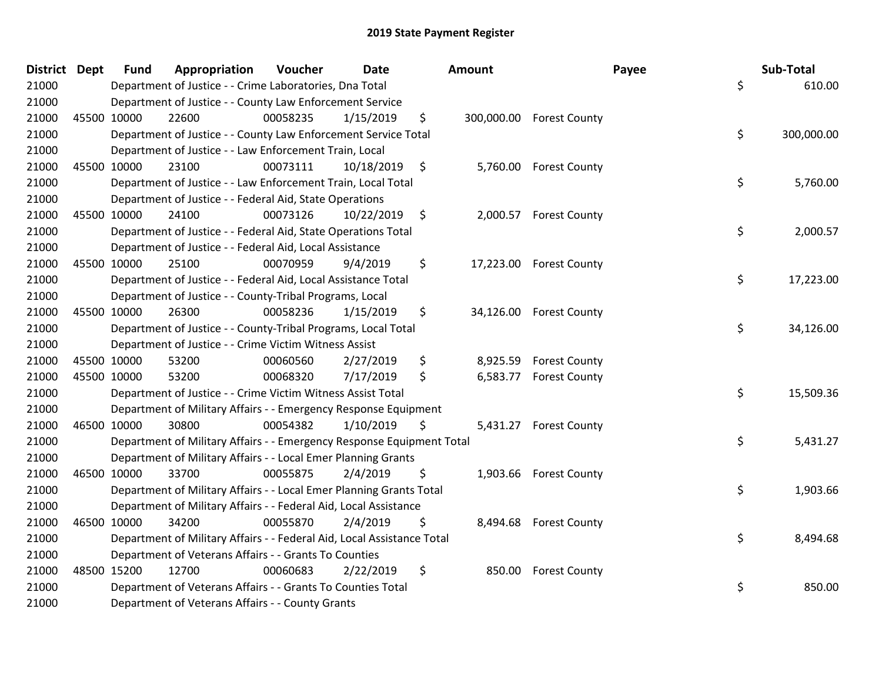| <b>District</b> | <b>Dept</b> | <b>Fund</b> | Appropriation                                                          | Voucher  | Date       | Amount |                          | Payee | Sub-Total  |
|-----------------|-------------|-------------|------------------------------------------------------------------------|----------|------------|--------|--------------------------|-------|------------|
| 21000           |             |             | Department of Justice - - Crime Laboratories, Dna Total                |          |            |        |                          | \$    | 610.00     |
| 21000           |             |             | Department of Justice - - County Law Enforcement Service               |          |            |        |                          |       |            |
| 21000           | 45500 10000 |             | 22600                                                                  | 00058235 | 1/15/2019  | \$     | 300,000.00 Forest County |       |            |
| 21000           |             |             | Department of Justice - - County Law Enforcement Service Total         |          |            |        |                          | \$    | 300,000.00 |
| 21000           |             |             | Department of Justice - - Law Enforcement Train, Local                 |          |            |        |                          |       |            |
| 21000           | 45500 10000 |             | 23100                                                                  | 00073111 | 10/18/2019 | \$     | 5,760.00 Forest County   |       |            |
| 21000           |             |             | Department of Justice - - Law Enforcement Train, Local Total           |          |            |        |                          | \$    | 5,760.00   |
| 21000           |             |             | Department of Justice - - Federal Aid, State Operations                |          |            |        |                          |       |            |
| 21000           | 45500 10000 |             | 24100                                                                  | 00073126 | 10/22/2019 | \$     | 2,000.57 Forest County   |       |            |
| 21000           |             |             | Department of Justice - - Federal Aid, State Operations Total          |          |            |        |                          | \$    | 2,000.57   |
| 21000           |             |             | Department of Justice - - Federal Aid, Local Assistance                |          |            |        |                          |       |            |
| 21000           | 45500 10000 |             | 25100                                                                  | 00070959 | 9/4/2019   | \$     | 17,223.00 Forest County  |       |            |
| 21000           |             |             | Department of Justice - - Federal Aid, Local Assistance Total          |          |            |        |                          | \$    | 17,223.00  |
| 21000           |             |             | Department of Justice - - County-Tribal Programs, Local                |          |            |        |                          |       |            |
| 21000           | 45500 10000 |             | 26300                                                                  | 00058236 | 1/15/2019  | \$     | 34,126.00 Forest County  |       |            |
| 21000           |             |             | Department of Justice - - County-Tribal Programs, Local Total          |          |            |        |                          | \$    | 34,126.00  |
| 21000           |             |             | Department of Justice - - Crime Victim Witness Assist                  |          |            |        |                          |       |            |
| 21000           | 45500 10000 |             | 53200                                                                  | 00060560 | 2/27/2019  | \$     | 8,925.59 Forest County   |       |            |
| 21000           | 45500 10000 |             | 53200                                                                  | 00068320 | 7/17/2019  | \$     | 6,583.77 Forest County   |       |            |
| 21000           |             |             | Department of Justice - - Crime Victim Witness Assist Total            |          |            |        |                          | \$    | 15,509.36  |
| 21000           |             |             | Department of Military Affairs - - Emergency Response Equipment        |          |            |        |                          |       |            |
| 21000           | 46500 10000 |             | 30800                                                                  | 00054382 | 1/10/2019  | \$     | 5,431.27 Forest County   |       |            |
| 21000           |             |             | Department of Military Affairs - - Emergency Response Equipment Total  |          |            |        |                          | \$    | 5,431.27   |
| 21000           |             |             | Department of Military Affairs - - Local Emer Planning Grants          |          |            |        |                          |       |            |
| 21000           | 46500 10000 |             | 33700                                                                  | 00055875 | 2/4/2019   | \$     | 1,903.66 Forest County   |       |            |
| 21000           |             |             | Department of Military Affairs - - Local Emer Planning Grants Total    |          |            |        |                          | \$    | 1,903.66   |
| 21000           |             |             | Department of Military Affairs - - Federal Aid, Local Assistance       |          |            |        |                          |       |            |
| 21000           | 46500 10000 |             | 34200                                                                  | 00055870 | 2/4/2019   | \$     | 8,494.68 Forest County   |       |            |
| 21000           |             |             | Department of Military Affairs - - Federal Aid, Local Assistance Total |          |            |        |                          | \$    | 8,494.68   |
| 21000           |             |             | Department of Veterans Affairs - - Grants To Counties                  |          |            |        |                          |       |            |
| 21000           | 48500 15200 |             | 12700                                                                  | 00060683 | 2/22/2019  | \$     | 850.00 Forest County     |       |            |
| 21000           |             |             | Department of Veterans Affairs - - Grants To Counties Total            |          |            |        |                          | \$    | 850.00     |
| 21000           |             |             | Department of Veterans Affairs - - County Grants                       |          |            |        |                          |       |            |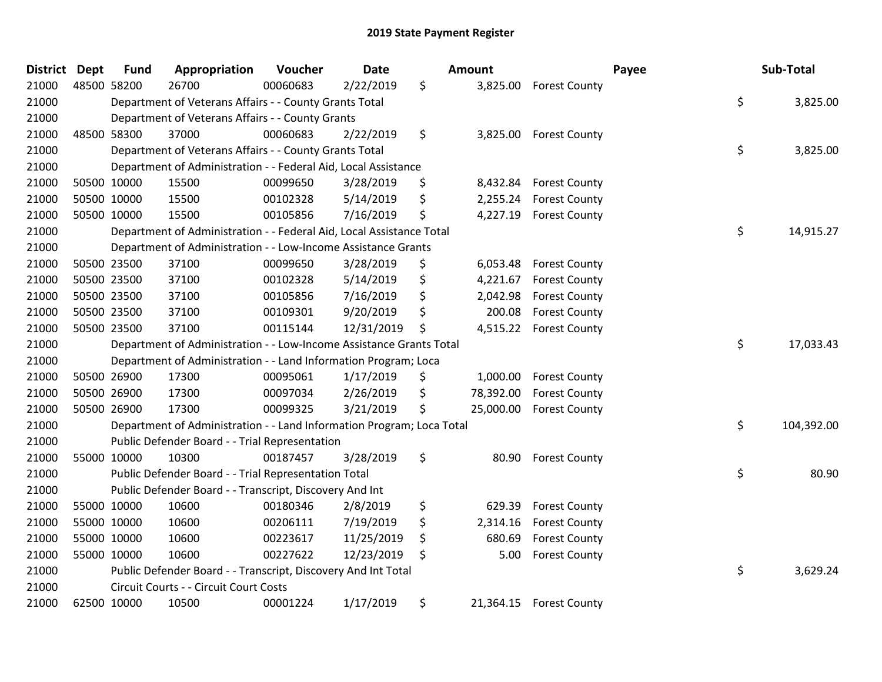| <b>District</b> | <b>Dept</b> | <b>Fund</b> | Appropriation                                                         | Voucher  | <b>Date</b> | Amount          |                      | Payee | Sub-Total  |
|-----------------|-------------|-------------|-----------------------------------------------------------------------|----------|-------------|-----------------|----------------------|-------|------------|
| 21000           |             | 48500 58200 | 26700                                                                 | 00060683 | 2/22/2019   | \$<br>3,825.00  | <b>Forest County</b> |       |            |
| 21000           |             |             | Department of Veterans Affairs - - County Grants Total                |          |             |                 |                      | \$    | 3,825.00   |
| 21000           |             |             | Department of Veterans Affairs - - County Grants                      |          |             |                 |                      |       |            |
| 21000           |             | 48500 58300 | 37000                                                                 | 00060683 | 2/22/2019   | \$<br>3,825.00  | <b>Forest County</b> |       |            |
| 21000           |             |             | Department of Veterans Affairs - - County Grants Total                |          |             |                 |                      | \$    | 3,825.00   |
| 21000           |             |             | Department of Administration - - Federal Aid, Local Assistance        |          |             |                 |                      |       |            |
| 21000           |             | 50500 10000 | 15500                                                                 | 00099650 | 3/28/2019   | \$<br>8,432.84  | <b>Forest County</b> |       |            |
| 21000           |             | 50500 10000 | 15500                                                                 | 00102328 | 5/14/2019   | \$<br>2,255.24  | <b>Forest County</b> |       |            |
| 21000           |             | 50500 10000 | 15500                                                                 | 00105856 | 7/16/2019   | \$<br>4,227.19  | <b>Forest County</b> |       |            |
| 21000           |             |             | Department of Administration - - Federal Aid, Local Assistance Total  |          |             |                 |                      | \$    | 14,915.27  |
| 21000           |             |             | Department of Administration - - Low-Income Assistance Grants         |          |             |                 |                      |       |            |
| 21000           |             | 50500 23500 | 37100                                                                 | 00099650 | 3/28/2019   | \$<br>6,053.48  | <b>Forest County</b> |       |            |
| 21000           |             | 50500 23500 | 37100                                                                 | 00102328 | 5/14/2019   | \$<br>4,221.67  | <b>Forest County</b> |       |            |
| 21000           |             | 50500 23500 | 37100                                                                 | 00105856 | 7/16/2019   | \$<br>2,042.98  | <b>Forest County</b> |       |            |
| 21000           |             | 50500 23500 | 37100                                                                 | 00109301 | 9/20/2019   | \$<br>200.08    | <b>Forest County</b> |       |            |
| 21000           |             | 50500 23500 | 37100                                                                 | 00115144 | 12/31/2019  | \$<br>4,515.22  | <b>Forest County</b> |       |            |
| 21000           |             |             | Department of Administration - - Low-Income Assistance Grants Total   |          |             |                 |                      | \$    | 17,033.43  |
| 21000           |             |             | Department of Administration - - Land Information Program; Loca       |          |             |                 |                      |       |            |
| 21000           |             | 50500 26900 | 17300                                                                 | 00095061 | 1/17/2019   | \$<br>1,000.00  | <b>Forest County</b> |       |            |
| 21000           |             | 50500 26900 | 17300                                                                 | 00097034 | 2/26/2019   | \$<br>78,392.00 | <b>Forest County</b> |       |            |
| 21000           |             | 50500 26900 | 17300                                                                 | 00099325 | 3/21/2019   | \$<br>25,000.00 | <b>Forest County</b> |       |            |
| 21000           |             |             | Department of Administration - - Land Information Program; Loca Total |          |             |                 |                      | \$    | 104,392.00 |
| 21000           |             |             | Public Defender Board - - Trial Representation                        |          |             |                 |                      |       |            |
| 21000           |             | 55000 10000 | 10300                                                                 | 00187457 | 3/28/2019   | \$<br>80.90     | <b>Forest County</b> |       |            |
| 21000           |             |             | Public Defender Board - - Trial Representation Total                  |          |             |                 |                      | \$    | 80.90      |
| 21000           |             |             | Public Defender Board - - Transcript, Discovery And Int               |          |             |                 |                      |       |            |
| 21000           |             | 55000 10000 | 10600                                                                 | 00180346 | 2/8/2019    | \$<br>629.39    | <b>Forest County</b> |       |            |
| 21000           |             | 55000 10000 | 10600                                                                 | 00206111 | 7/19/2019   | \$<br>2,314.16  | <b>Forest County</b> |       |            |
| 21000           |             | 55000 10000 | 10600                                                                 | 00223617 | 11/25/2019  | \$<br>680.69    | <b>Forest County</b> |       |            |
| 21000           |             | 55000 10000 | 10600                                                                 | 00227622 | 12/23/2019  | \$<br>5.00      | <b>Forest County</b> |       |            |
| 21000           |             |             | Public Defender Board - - Transcript, Discovery And Int Total         |          |             |                 |                      | \$    | 3,629.24   |
| 21000           |             |             | Circuit Courts - - Circuit Court Costs                                |          |             |                 |                      |       |            |
| 21000           |             | 62500 10000 | 10500                                                                 | 00001224 | 1/17/2019   | \$<br>21,364.15 | <b>Forest County</b> |       |            |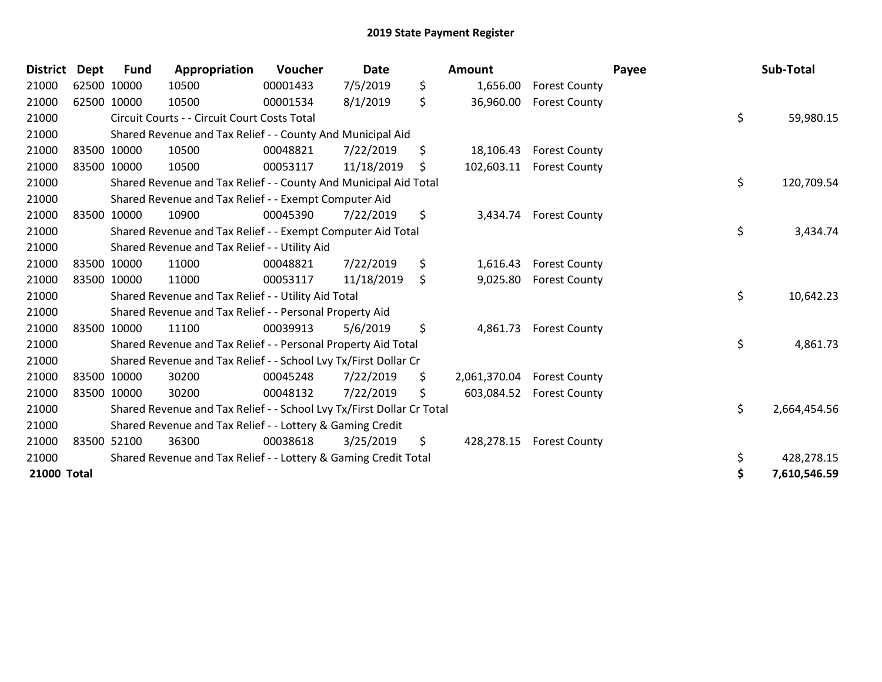| <b>District</b> | <b>Dept</b> | <b>Fund</b> | Appropriation                                                         | Voucher  | <b>Date</b> | Amount             |                          | Payee | Sub-Total    |
|-----------------|-------------|-------------|-----------------------------------------------------------------------|----------|-------------|--------------------|--------------------------|-------|--------------|
| 21000           | 62500 10000 |             | 10500                                                                 | 00001433 | 7/5/2019    | \$<br>1,656.00     | <b>Forest County</b>     |       |              |
| 21000           | 62500 10000 |             | 10500                                                                 | 00001534 | 8/1/2019    | \$<br>36,960.00    | <b>Forest County</b>     |       |              |
| 21000           |             |             | Circuit Courts - - Circuit Court Costs Total                          |          |             |                    |                          | \$    | 59,980.15    |
| 21000           |             |             | Shared Revenue and Tax Relief - - County And Municipal Aid            |          |             |                    |                          |       |              |
| 21000           | 83500 10000 |             | 10500                                                                 | 00048821 | 7/22/2019   | \$<br>18,106.43    | <b>Forest County</b>     |       |              |
| 21000           | 83500 10000 |             | 10500                                                                 | 00053117 | 11/18/2019  | \$                 | 102,603.11 Forest County |       |              |
| 21000           |             |             | Shared Revenue and Tax Relief - - County And Municipal Aid Total      |          |             |                    |                          | \$    | 120,709.54   |
| 21000           |             |             | Shared Revenue and Tax Relief - - Exempt Computer Aid                 |          |             |                    |                          |       |              |
| 21000           | 83500 10000 |             | 10900                                                                 | 00045390 | 7/22/2019   | \$<br>3,434.74     | <b>Forest County</b>     |       |              |
| 21000           |             |             | Shared Revenue and Tax Relief - - Exempt Computer Aid Total           |          |             |                    |                          | \$    | 3,434.74     |
| 21000           |             |             | Shared Revenue and Tax Relief - - Utility Aid                         |          |             |                    |                          |       |              |
| 21000           | 83500 10000 |             | 11000                                                                 | 00048821 | 7/22/2019   | \$<br>1,616.43     | <b>Forest County</b>     |       |              |
| 21000           | 83500 10000 |             | 11000                                                                 | 00053117 | 11/18/2019  | \$<br>9,025.80     | <b>Forest County</b>     |       |              |
| 21000           |             |             | Shared Revenue and Tax Relief - - Utility Aid Total                   |          |             |                    |                          | \$    | 10,642.23    |
| 21000           |             |             | Shared Revenue and Tax Relief - - Personal Property Aid               |          |             |                    |                          |       |              |
| 21000           | 83500 10000 |             | 11100                                                                 | 00039913 | 5/6/2019    | \$                 | 4,861.73 Forest County   |       |              |
| 21000           |             |             | Shared Revenue and Tax Relief - - Personal Property Aid Total         |          |             |                    |                          | \$    | 4,861.73     |
| 21000           |             |             | Shared Revenue and Tax Relief - - School Lvy Tx/First Dollar Cr       |          |             |                    |                          |       |              |
| 21000           | 83500 10000 |             | 30200                                                                 | 00045248 | 7/22/2019   | \$<br>2,061,370.04 | <b>Forest County</b>     |       |              |
| 21000           | 83500 10000 |             | 30200                                                                 | 00048132 | 7/22/2019   | \$<br>603,084.52   | <b>Forest County</b>     |       |              |
| 21000           |             |             | Shared Revenue and Tax Relief - - School Lvy Tx/First Dollar Cr Total |          |             |                    |                          | \$    | 2,664,454.56 |
| 21000           |             |             | Shared Revenue and Tax Relief - - Lottery & Gaming Credit             |          |             |                    |                          |       |              |
| 21000           | 83500 52100 |             | 36300                                                                 | 00038618 | 3/25/2019   | \$<br>428,278.15   | <b>Forest County</b>     |       |              |
| 21000           |             |             | Shared Revenue and Tax Relief - - Lottery & Gaming Credit Total       |          |             |                    |                          | \$    | 428,278.15   |
| 21000 Total     |             |             |                                                                       |          |             |                    |                          | \$    | 7,610,546.59 |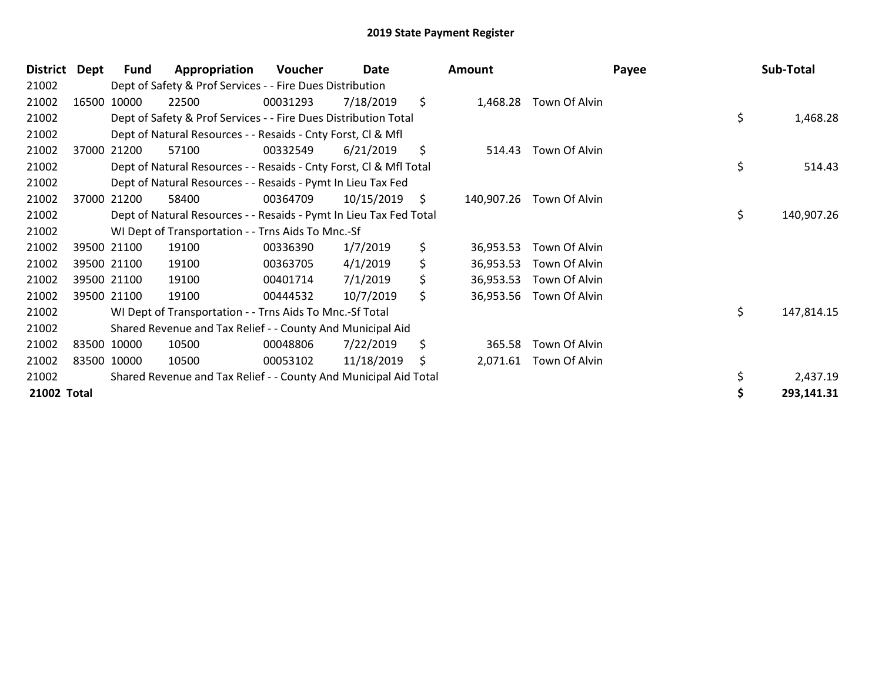| <b>District</b> | Dept | Fund        | Appropriation                                                      | Voucher  | Date       |     | <b>Amount</b> |                         | Payee | Sub-Total  |
|-----------------|------|-------------|--------------------------------------------------------------------|----------|------------|-----|---------------|-------------------------|-------|------------|
| 21002           |      |             | Dept of Safety & Prof Services - - Fire Dues Distribution          |          |            |     |               |                         |       |            |
| 21002           |      | 16500 10000 | 22500                                                              | 00031293 | 7/18/2019  | \$  |               | 1,468.28 Town Of Alvin  |       |            |
| 21002           |      |             | Dept of Safety & Prof Services - - Fire Dues Distribution Total    |          |            |     |               |                         | \$    | 1,468.28   |
| 21002           |      |             | Dept of Natural Resources - - Resaids - Cnty Forst, CI & Mfl       |          |            |     |               |                         |       |            |
| 21002           |      | 37000 21200 | 57100                                                              | 00332549 | 6/21/2019  | \$  | 514.43        | Town Of Alvin           |       |            |
| 21002           |      |             | Dept of Natural Resources - - Resaids - Cnty Forst, Cl & Mfl Total |          |            |     |               |                         | \$    | 514.43     |
| 21002           |      |             | Dept of Natural Resources - - Resaids - Pymt In Lieu Tax Fed       |          |            |     |               |                         |       |            |
| 21002           |      | 37000 21200 | 58400                                                              | 00364709 | 10/15/2019 | -\$ | 140,907.26    | Town Of Alvin           |       |            |
| 21002           |      |             | Dept of Natural Resources - - Resaids - Pymt In Lieu Tax Fed Total |          |            |     |               |                         | \$    | 140,907.26 |
| 21002           |      |             | WI Dept of Transportation - - Trns Aids To Mnc.-Sf                 |          |            |     |               |                         |       |            |
| 21002           |      | 39500 21100 | 19100                                                              | 00336390 | 1/7/2019   | \$  | 36,953.53     | Town Of Alvin           |       |            |
| 21002           |      | 39500 21100 | 19100                                                              | 00363705 | 4/1/2019   | \$  | 36,953.53     | Town Of Alvin           |       |            |
| 21002           |      | 39500 21100 | 19100                                                              | 00401714 | 7/1/2019   | \$  | 36,953.53     | Town Of Alvin           |       |            |
| 21002           |      | 39500 21100 | 19100                                                              | 00444532 | 10/7/2019  | \$  |               | 36,953.56 Town Of Alvin |       |            |
| 21002           |      |             | WI Dept of Transportation - - Trns Aids To Mnc.-Sf Total           |          |            |     |               |                         | \$    | 147,814.15 |
| 21002           |      |             | Shared Revenue and Tax Relief - - County And Municipal Aid         |          |            |     |               |                         |       |            |
| 21002           |      | 83500 10000 | 10500                                                              | 00048806 | 7/22/2019  | \$  | 365.58        | Town Of Alvin           |       |            |
| 21002           |      | 83500 10000 | 10500                                                              | 00053102 | 11/18/2019 | \$  | 2,071.61      | Town Of Alvin           |       |            |
| 21002           |      |             | Shared Revenue and Tax Relief - - County And Municipal Aid Total   |          |            |     |               |                         |       | 2,437.19   |
| 21002 Total     |      |             |                                                                    |          |            |     |               |                         |       | 293,141.31 |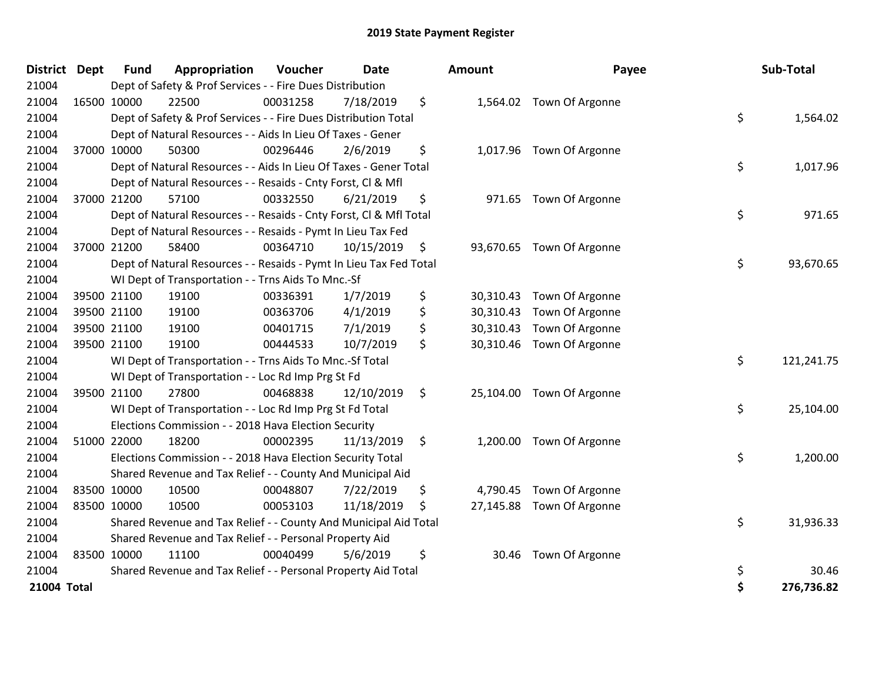| <b>District Dept</b> | <b>Fund</b> | Appropriation                                                      | Voucher  | <b>Date</b> | <b>Amount</b>   | Payee                     | Sub-Total        |
|----------------------|-------------|--------------------------------------------------------------------|----------|-------------|-----------------|---------------------------|------------------|
| 21004                |             | Dept of Safety & Prof Services - - Fire Dues Distribution          |          |             |                 |                           |                  |
| 21004                | 16500 10000 | 22500                                                              | 00031258 | 7/18/2019   | \$              | 1,564.02 Town Of Argonne  |                  |
| 21004                |             | Dept of Safety & Prof Services - - Fire Dues Distribution Total    |          |             |                 |                           | \$<br>1,564.02   |
| 21004                |             | Dept of Natural Resources - - Aids In Lieu Of Taxes - Gener        |          |             |                 |                           |                  |
| 21004                | 37000 10000 | 50300                                                              | 00296446 | 2/6/2019    | \$              | 1,017.96 Town Of Argonne  |                  |
| 21004                |             | Dept of Natural Resources - - Aids In Lieu Of Taxes - Gener Total  |          |             |                 |                           | \$<br>1,017.96   |
| 21004                |             | Dept of Natural Resources - - Resaids - Cnty Forst, Cl & Mfl       |          |             |                 |                           |                  |
| 21004                | 37000 21200 | 57100                                                              | 00332550 | 6/21/2019   | \$              | 971.65 Town Of Argonne    |                  |
| 21004                |             | Dept of Natural Resources - - Resaids - Cnty Forst, Cl & Mfl Total |          |             |                 |                           | \$<br>971.65     |
| 21004                |             | Dept of Natural Resources - - Resaids - Pymt In Lieu Tax Fed       |          |             |                 |                           |                  |
| 21004                | 37000 21200 | 58400                                                              | 00364710 | 10/15/2019  | \$              | 93,670.65 Town Of Argonne |                  |
| 21004                |             | Dept of Natural Resources - - Resaids - Pymt In Lieu Tax Fed Total |          |             |                 |                           | \$<br>93,670.65  |
| 21004                |             | WI Dept of Transportation - - Trns Aids To Mnc.-Sf                 |          |             |                 |                           |                  |
| 21004                | 39500 21100 | 19100                                                              | 00336391 | 1/7/2019    | \$<br>30,310.43 | Town Of Argonne           |                  |
| 21004                | 39500 21100 | 19100                                                              | 00363706 | 4/1/2019    | \$<br>30,310.43 | Town Of Argonne           |                  |
| 21004                | 39500 21100 | 19100                                                              | 00401715 | 7/1/2019    | \$<br>30,310.43 | Town Of Argonne           |                  |
| 21004                | 39500 21100 | 19100                                                              | 00444533 | 10/7/2019   | \$              | 30,310.46 Town Of Argonne |                  |
| 21004                |             | WI Dept of Transportation - - Trns Aids To Mnc.-Sf Total           |          |             |                 |                           | \$<br>121,241.75 |
| 21004                |             | WI Dept of Transportation - - Loc Rd Imp Prg St Fd                 |          |             |                 |                           |                  |
| 21004                | 39500 21100 | 27800                                                              | 00468838 | 12/10/2019  | \$              | 25,104.00 Town Of Argonne |                  |
| 21004                |             | WI Dept of Transportation - - Loc Rd Imp Prg St Fd Total           |          |             |                 |                           | \$<br>25,104.00  |
| 21004                |             | Elections Commission - - 2018 Hava Election Security               |          |             |                 |                           |                  |
| 21004                | 51000 22000 | 18200                                                              | 00002395 | 11/13/2019  | \$              | 1,200.00 Town Of Argonne  |                  |
| 21004                |             | Elections Commission - - 2018 Hava Election Security Total         |          |             |                 |                           | \$<br>1,200.00   |
| 21004                |             | Shared Revenue and Tax Relief - - County And Municipal Aid         |          |             |                 |                           |                  |
| 21004                | 83500 10000 | 10500                                                              | 00048807 | 7/22/2019   | \$<br>4,790.45  | Town Of Argonne           |                  |
| 21004                | 83500 10000 | 10500                                                              | 00053103 | 11/18/2019  | \$              | 27,145.88 Town Of Argonne |                  |
| 21004                |             | Shared Revenue and Tax Relief - - County And Municipal Aid Total   |          |             |                 |                           | \$<br>31,936.33  |
| 21004                |             | Shared Revenue and Tax Relief - - Personal Property Aid            |          |             |                 |                           |                  |
| 21004                | 83500 10000 | 11100                                                              | 00040499 | 5/6/2019    | \$<br>30.46     | Town Of Argonne           |                  |
| 21004                |             | Shared Revenue and Tax Relief - - Personal Property Aid Total      |          |             |                 |                           | \$<br>30.46      |
| 21004 Total          |             |                                                                    |          |             |                 |                           | \$<br>276,736.82 |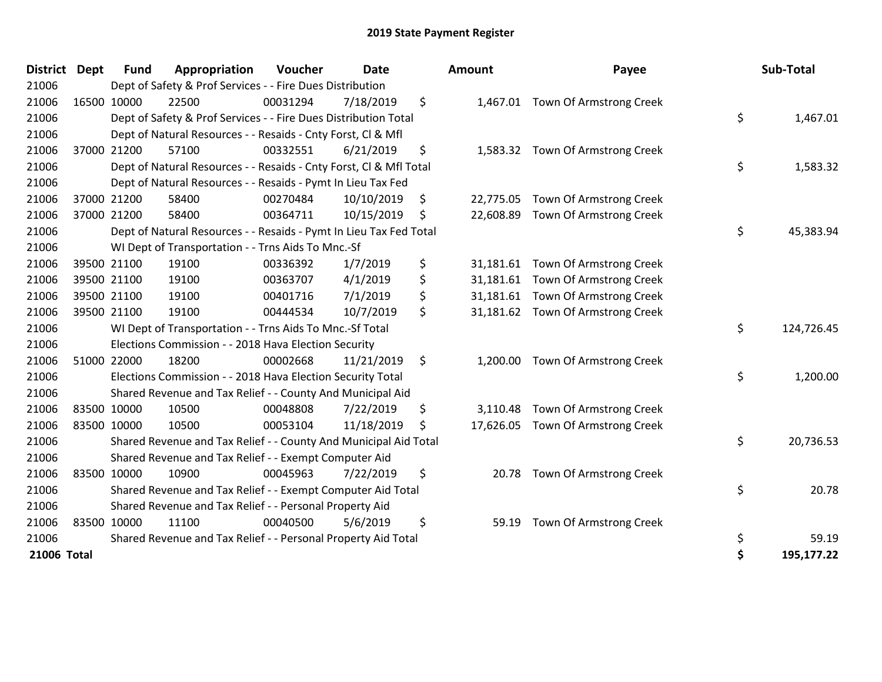| <b>District</b> | Dept        | <b>Fund</b> | Appropriation                                                      | Voucher  | <b>Date</b> | <b>Amount</b>   | Payee                            | Sub-Total        |
|-----------------|-------------|-------------|--------------------------------------------------------------------|----------|-------------|-----------------|----------------------------------|------------------|
| 21006           |             |             | Dept of Safety & Prof Services - - Fire Dues Distribution          |          |             |                 |                                  |                  |
| 21006           |             | 16500 10000 | 22500                                                              | 00031294 | 7/18/2019   | \$              | 1,467.01 Town Of Armstrong Creek |                  |
| 21006           |             |             | Dept of Safety & Prof Services - - Fire Dues Distribution Total    |          |             |                 |                                  | \$<br>1,467.01   |
| 21006           |             |             | Dept of Natural Resources - - Resaids - Cnty Forst, Cl & Mfl       |          |             |                 |                                  |                  |
| 21006           |             | 37000 21200 | 57100                                                              | 00332551 | 6/21/2019   | \$              | 1,583.32 Town Of Armstrong Creek |                  |
| 21006           |             |             | Dept of Natural Resources - - Resaids - Cnty Forst, Cl & Mfl Total |          |             |                 |                                  | \$<br>1,583.32   |
| 21006           |             |             | Dept of Natural Resources - - Resaids - Pymt In Lieu Tax Fed       |          |             |                 |                                  |                  |
| 21006           |             | 37000 21200 | 58400                                                              | 00270484 | 10/10/2019  | \$<br>22,775.05 | Town Of Armstrong Creek          |                  |
| 21006           |             | 37000 21200 | 58400                                                              | 00364711 | 10/15/2019  | \$<br>22,608.89 | Town Of Armstrong Creek          |                  |
| 21006           |             |             | Dept of Natural Resources - - Resaids - Pymt In Lieu Tax Fed Total |          |             |                 |                                  | \$<br>45,383.94  |
| 21006           |             |             | WI Dept of Transportation - - Trns Aids To Mnc.-Sf                 |          |             |                 |                                  |                  |
| 21006           |             | 39500 21100 | 19100                                                              | 00336392 | 1/7/2019    | \$<br>31,181.61 | Town Of Armstrong Creek          |                  |
| 21006           |             | 39500 21100 | 19100                                                              | 00363707 | 4/1/2019    | \$<br>31,181.61 | Town Of Armstrong Creek          |                  |
| 21006           |             | 39500 21100 | 19100                                                              | 00401716 | 7/1/2019    | \$<br>31,181.61 | Town Of Armstrong Creek          |                  |
| 21006           |             | 39500 21100 | 19100                                                              | 00444534 | 10/7/2019   | \$<br>31,181.62 | Town Of Armstrong Creek          |                  |
| 21006           |             |             | WI Dept of Transportation - - Trns Aids To Mnc.-Sf Total           |          |             |                 |                                  | \$<br>124,726.45 |
| 21006           |             |             | Elections Commission - - 2018 Hava Election Security               |          |             |                 |                                  |                  |
| 21006           |             | 51000 22000 | 18200                                                              | 00002668 | 11/21/2019  | \$<br>1,200.00  | Town Of Armstrong Creek          |                  |
| 21006           |             |             | Elections Commission - - 2018 Hava Election Security Total         |          |             |                 |                                  | \$<br>1,200.00   |
| 21006           |             |             | Shared Revenue and Tax Relief - - County And Municipal Aid         |          |             |                 |                                  |                  |
| 21006           |             | 83500 10000 | 10500                                                              | 00048808 | 7/22/2019   | \$<br>3,110.48  | Town Of Armstrong Creek          |                  |
| 21006           | 83500 10000 |             | 10500                                                              | 00053104 | 11/18/2019  | \$<br>17,626.05 | Town Of Armstrong Creek          |                  |
| 21006           |             |             | Shared Revenue and Tax Relief - - County And Municipal Aid Total   |          |             |                 |                                  | \$<br>20,736.53  |
| 21006           |             |             | Shared Revenue and Tax Relief - - Exempt Computer Aid              |          |             |                 |                                  |                  |
| 21006           |             | 83500 10000 | 10900                                                              | 00045963 | 7/22/2019   | \$<br>20.78     | Town Of Armstrong Creek          |                  |
| 21006           |             |             | Shared Revenue and Tax Relief - - Exempt Computer Aid Total        |          |             |                 |                                  | \$<br>20.78      |
| 21006           |             |             | Shared Revenue and Tax Relief - - Personal Property Aid            |          |             |                 |                                  |                  |
| 21006           | 83500 10000 |             | 11100                                                              | 00040500 | 5/6/2019    | \$<br>59.19     | Town Of Armstrong Creek          |                  |
| 21006           |             |             | Shared Revenue and Tax Relief - - Personal Property Aid Total      |          |             |                 |                                  | \$<br>59.19      |
| 21006 Total     |             |             |                                                                    |          |             |                 |                                  | \$<br>195,177.22 |

| ıount     | Payee                            | Sub-Total        |
|-----------|----------------------------------|------------------|
| 1,467.01  | Town Of Armstrong Creek          |                  |
|           |                                  | \$<br>1,467.01   |
| 1,583.32  | Town Of Armstrong Creek          | \$<br>1,583.32   |
| 22,775.05 | Town Of Armstrong Creek          |                  |
| 22,608.89 | Town Of Armstrong Creek          |                  |
|           |                                  | \$<br>45,383.94  |
| 31,181.61 | Town Of Armstrong Creek          |                  |
| 31,181.61 | Town Of Armstrong Creek          |                  |
| 31,181.61 | Town Of Armstrong Creek          |                  |
| 31,181.62 | Town Of Armstrong Creek          |                  |
|           |                                  | \$<br>124,726.45 |
| 1,200.00  | Town Of Armstrong Creek          |                  |
|           |                                  | \$<br>1,200.00   |
|           | 3,110.48 Town Of Armstrong Creek |                  |
| 17,626.05 | Town Of Armstrong Creek          |                  |
|           |                                  | \$<br>20,736.53  |
| 20.78     | Town Of Armstrong Creek          |                  |
|           |                                  | \$<br>20.78      |
| 59.19     | Town Of Armstrong Creek          |                  |
|           |                                  | \$<br>59.19      |
|           |                                  | \$<br>195,177.22 |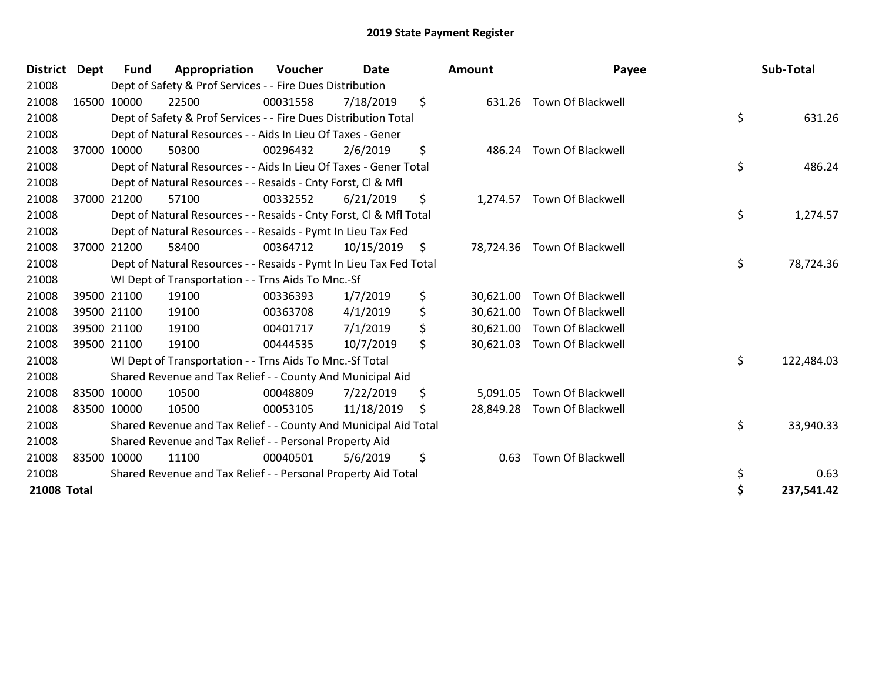| <b>District</b>    | <b>Dept</b> | <b>Fund</b> | Appropriation                                                      | Voucher  | <b>Date</b> | <b>Amount</b>   | Payee                       |    | Sub-Total  |
|--------------------|-------------|-------------|--------------------------------------------------------------------|----------|-------------|-----------------|-----------------------------|----|------------|
| 21008              |             |             | Dept of Safety & Prof Services - - Fire Dues Distribution          |          |             |                 |                             |    |            |
| 21008              |             | 16500 10000 | 22500                                                              | 00031558 | 7/18/2019   | \$              | 631.26 Town Of Blackwell    |    |            |
| 21008              |             |             | Dept of Safety & Prof Services - - Fire Dues Distribution Total    |          |             |                 |                             | \$ | 631.26     |
| 21008              |             |             | Dept of Natural Resources - - Aids In Lieu Of Taxes - Gener        |          |             |                 |                             |    |            |
| 21008              |             | 37000 10000 | 50300                                                              | 00296432 | 2/6/2019    | \$<br>486.24    | <b>Town Of Blackwell</b>    |    |            |
| 21008              |             |             | Dept of Natural Resources - - Aids In Lieu Of Taxes - Gener Total  |          |             |                 |                             | \$ | 486.24     |
| 21008              |             |             | Dept of Natural Resources - - Resaids - Cnty Forst, CI & Mfl       |          |             |                 |                             |    |            |
| 21008              |             | 37000 21200 | 57100                                                              | 00332552 | 6/21/2019   | \$<br>1,274.57  | <b>Town Of Blackwell</b>    |    |            |
| 21008              |             |             | Dept of Natural Resources - - Resaids - Cnty Forst, CI & Mfl Total |          |             |                 |                             | \$ | 1,274.57   |
| 21008              |             |             | Dept of Natural Resources - - Resaids - Pymt In Lieu Tax Fed       |          |             |                 |                             |    |            |
| 21008              |             | 37000 21200 | 58400                                                              | 00364712 | 10/15/2019  | \$              | 78,724.36 Town Of Blackwell |    |            |
| 21008              |             |             | Dept of Natural Resources - - Resaids - Pymt In Lieu Tax Fed Total |          |             |                 |                             | \$ | 78,724.36  |
| 21008              |             |             | WI Dept of Transportation - - Trns Aids To Mnc.-Sf                 |          |             |                 |                             |    |            |
| 21008              |             | 39500 21100 | 19100                                                              | 00336393 | 1/7/2019    | \$<br>30,621.00 | Town Of Blackwell           |    |            |
| 21008              |             | 39500 21100 | 19100                                                              | 00363708 | 4/1/2019    | \$              | 30,621.00 Town Of Blackwell |    |            |
| 21008              |             | 39500 21100 | 19100                                                              | 00401717 | 7/1/2019    | \$<br>30,621.00 | Town Of Blackwell           |    |            |
| 21008              |             | 39500 21100 | 19100                                                              | 00444535 | 10/7/2019   | \$<br>30,621.03 | Town Of Blackwell           |    |            |
| 21008              |             |             | WI Dept of Transportation - - Trns Aids To Mnc.-Sf Total           |          |             |                 |                             | \$ | 122,484.03 |
| 21008              |             |             | Shared Revenue and Tax Relief - - County And Municipal Aid         |          |             |                 |                             |    |            |
| 21008              |             | 83500 10000 | 10500                                                              | 00048809 | 7/22/2019   | \$<br>5,091.05  | Town Of Blackwell           |    |            |
| 21008              |             | 83500 10000 | 10500                                                              | 00053105 | 11/18/2019  | \$              | 28,849.28 Town Of Blackwell |    |            |
| 21008              |             |             | Shared Revenue and Tax Relief - - County And Municipal Aid Total   |          |             |                 |                             | \$ | 33,940.33  |
| 21008              |             |             | Shared Revenue and Tax Relief - - Personal Property Aid            |          |             |                 |                             |    |            |
| 21008              |             | 83500 10000 | 11100                                                              | 00040501 | 5/6/2019    | \$<br>0.63      | Town Of Blackwell           |    |            |
| 21008              |             |             | Shared Revenue and Tax Relief - - Personal Property Aid Total      |          |             |                 |                             | \$ | 0.63       |
| <b>21008 Total</b> |             |             |                                                                    |          |             |                 |                             | Ś  | 237,541.42 |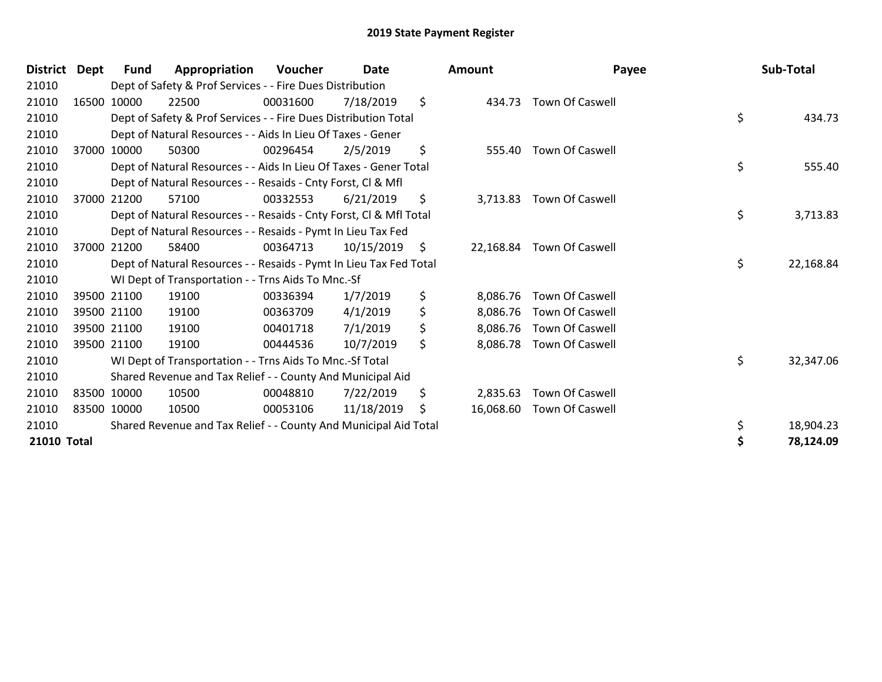| <b>District</b> | <b>Dept</b> | <b>Fund</b> | Appropriation                                                      | <b>Voucher</b> | Date       | Amount          | Payee                     | Sub-Total       |
|-----------------|-------------|-------------|--------------------------------------------------------------------|----------------|------------|-----------------|---------------------------|-----------------|
| 21010           |             |             | Dept of Safety & Prof Services - - Fire Dues Distribution          |                |            |                 |                           |                 |
| 21010           |             | 16500 10000 | 22500                                                              | 00031600       | 7/18/2019  | \$<br>434.73    | <b>Town Of Caswell</b>    |                 |
| 21010           |             |             | Dept of Safety & Prof Services - - Fire Dues Distribution Total    |                |            |                 |                           | \$<br>434.73    |
| 21010           |             |             | Dept of Natural Resources - - Aids In Lieu Of Taxes - Gener        |                |            |                 |                           |                 |
| 21010           |             | 37000 10000 | 50300                                                              | 00296454       | 2/5/2019   | \$<br>555.40    | Town Of Caswell           |                 |
| 21010           |             |             | Dept of Natural Resources - - Aids In Lieu Of Taxes - Gener Total  |                |            |                 |                           | \$<br>555.40    |
| 21010           |             |             | Dept of Natural Resources - - Resaids - Cnty Forst, CI & Mfl       |                |            |                 |                           |                 |
| 21010           |             | 37000 21200 | 57100                                                              | 00332553       | 6/21/2019  | \$<br>3,713.83  | Town Of Caswell           |                 |
| 21010           |             |             | Dept of Natural Resources - - Resaids - Cnty Forst, CI & Mfl Total |                |            |                 |                           | \$<br>3,713.83  |
| 21010           |             |             | Dept of Natural Resources - - Resaids - Pymt In Lieu Tax Fed       |                |            |                 |                           |                 |
| 21010           |             | 37000 21200 | 58400                                                              | 00364713       | 10/15/2019 | \$<br>22,168.84 | <b>Town Of Caswell</b>    |                 |
| 21010           |             |             | Dept of Natural Resources - - Resaids - Pymt In Lieu Tax Fed Total |                |            |                 |                           | \$<br>22,168.84 |
| 21010           |             |             | WI Dept of Transportation - - Trns Aids To Mnc.-Sf                 |                |            |                 |                           |                 |
| 21010           |             | 39500 21100 | 19100                                                              | 00336394       | 1/7/2019   | \$<br>8,086.76  | <b>Town Of Caswell</b>    |                 |
| 21010           |             | 39500 21100 | 19100                                                              | 00363709       | 4/1/2019   | \$<br>8,086.76  | Town Of Caswell           |                 |
| 21010           |             | 39500 21100 | 19100                                                              | 00401718       | 7/1/2019   | \$<br>8,086.76  | Town Of Caswell           |                 |
| 21010           |             | 39500 21100 | 19100                                                              | 00444536       | 10/7/2019  | \$<br>8,086.78  | Town Of Caswell           |                 |
| 21010           |             |             | WI Dept of Transportation - - Trns Aids To Mnc.-Sf Total           |                |            |                 |                           | \$<br>32,347.06 |
| 21010           |             |             | Shared Revenue and Tax Relief - - County And Municipal Aid         |                |            |                 |                           |                 |
| 21010           | 83500 10000 |             | 10500                                                              | 00048810       | 7/22/2019  | \$<br>2,835.63  | <b>Town Of Caswell</b>    |                 |
| 21010           | 83500 10000 |             | 10500                                                              | 00053106       | 11/18/2019 | \$              | 16,068.60 Town Of Caswell |                 |
| 21010           |             |             | Shared Revenue and Tax Relief - - County And Municipal Aid Total   |                |            |                 |                           | 18,904.23       |
| 21010 Total     |             |             |                                                                    |                |            |                 |                           | 78,124.09       |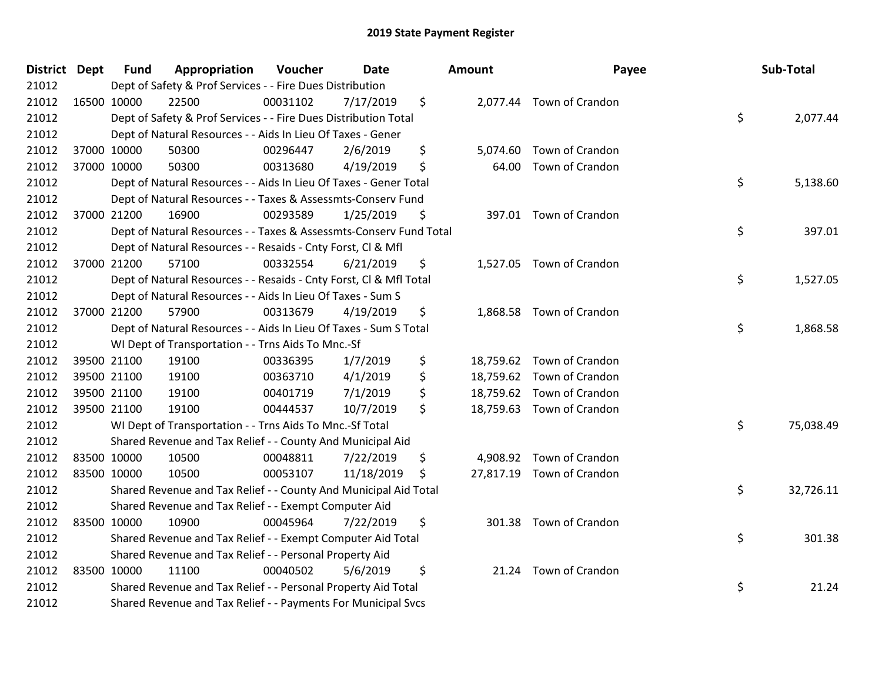| District Dept | <b>Fund</b> | Appropriation                                                      | Voucher  | Date       | <b>Amount</b>  | Payee                     | Sub-Total       |
|---------------|-------------|--------------------------------------------------------------------|----------|------------|----------------|---------------------------|-----------------|
| 21012         |             | Dept of Safety & Prof Services - - Fire Dues Distribution          |          |            |                |                           |                 |
| 21012         | 16500 10000 | 22500                                                              | 00031102 | 7/17/2019  | \$             | 2,077.44 Town of Crandon  |                 |
| 21012         |             | Dept of Safety & Prof Services - - Fire Dues Distribution Total    |          |            |                |                           | \$<br>2,077.44  |
| 21012         |             | Dept of Natural Resources - - Aids In Lieu Of Taxes - Gener        |          |            |                |                           |                 |
| 21012         | 37000 10000 | 50300                                                              | 00296447 | 2/6/2019   | \$<br>5,074.60 | Town of Crandon           |                 |
| 21012         | 37000 10000 | 50300                                                              | 00313680 | 4/19/2019  | \$<br>64.00    | Town of Crandon           |                 |
| 21012         |             | Dept of Natural Resources - - Aids In Lieu Of Taxes - Gener Total  |          |            |                |                           | \$<br>5,138.60  |
| 21012         |             | Dept of Natural Resources - - Taxes & Assessmts-Conserv Fund       |          |            |                |                           |                 |
| 21012         | 37000 21200 | 16900                                                              | 00293589 | 1/25/2019  | \$             | 397.01 Town of Crandon    |                 |
| 21012         |             | Dept of Natural Resources - - Taxes & Assessmts-Conserv Fund Total |          |            |                |                           | \$<br>397.01    |
| 21012         |             | Dept of Natural Resources - - Resaids - Cnty Forst, Cl & Mfl       |          |            |                |                           |                 |
| 21012         | 37000 21200 | 57100                                                              | 00332554 | 6/21/2019  | \$             | 1,527.05 Town of Crandon  |                 |
| 21012         |             | Dept of Natural Resources - - Resaids - Cnty Forst, CI & Mfl Total |          |            |                |                           | \$<br>1,527.05  |
| 21012         |             | Dept of Natural Resources - - Aids In Lieu Of Taxes - Sum S        |          |            |                |                           |                 |
| 21012         | 37000 21200 | 57900                                                              | 00313679 | 4/19/2019  | \$             | 1,868.58 Town of Crandon  |                 |
| 21012         |             | Dept of Natural Resources - - Aids In Lieu Of Taxes - Sum S Total  |          |            |                |                           | \$<br>1,868.58  |
| 21012         |             | WI Dept of Transportation - - Trns Aids To Mnc.-Sf                 |          |            |                |                           |                 |
| 21012         | 39500 21100 | 19100                                                              | 00336395 | 1/7/2019   | \$             | 18,759.62 Town of Crandon |                 |
| 21012         | 39500 21100 | 19100                                                              | 00363710 | 4/1/2019   | \$             | 18,759.62 Town of Crandon |                 |
| 21012         | 39500 21100 | 19100                                                              | 00401719 | 7/1/2019   | \$             | 18,759.62 Town of Crandon |                 |
| 21012         | 39500 21100 | 19100                                                              | 00444537 | 10/7/2019  | \$             | 18,759.63 Town of Crandon |                 |
| 21012         |             | WI Dept of Transportation - - Trns Aids To Mnc.-Sf Total           |          |            |                |                           | \$<br>75,038.49 |
| 21012         |             | Shared Revenue and Tax Relief - - County And Municipal Aid         |          |            |                |                           |                 |
| 21012         | 83500 10000 | 10500                                                              | 00048811 | 7/22/2019  | \$             | 4,908.92 Town of Crandon  |                 |
| 21012         | 83500 10000 | 10500                                                              | 00053107 | 11/18/2019 | \$             | 27,817.19 Town of Crandon |                 |
| 21012         |             | Shared Revenue and Tax Relief - - County And Municipal Aid Total   |          |            |                |                           | \$<br>32,726.11 |
| 21012         |             | Shared Revenue and Tax Relief - - Exempt Computer Aid              |          |            |                |                           |                 |
| 21012         | 83500 10000 | 10900                                                              | 00045964 | 7/22/2019  | \$             | 301.38 Town of Crandon    |                 |
| 21012         |             | Shared Revenue and Tax Relief - - Exempt Computer Aid Total        |          |            |                |                           | \$<br>301.38    |
| 21012         |             | Shared Revenue and Tax Relief - - Personal Property Aid            |          |            |                |                           |                 |
| 21012         | 83500 10000 | 11100                                                              | 00040502 | 5/6/2019   | \$             | 21.24 Town of Crandon     |                 |
| 21012         |             | Shared Revenue and Tax Relief - - Personal Property Aid Total      |          |            |                |                           | \$<br>21.24     |
| 21012         |             | Shared Revenue and Tax Relief - - Payments For Municipal Svcs      |          |            |                |                           |                 |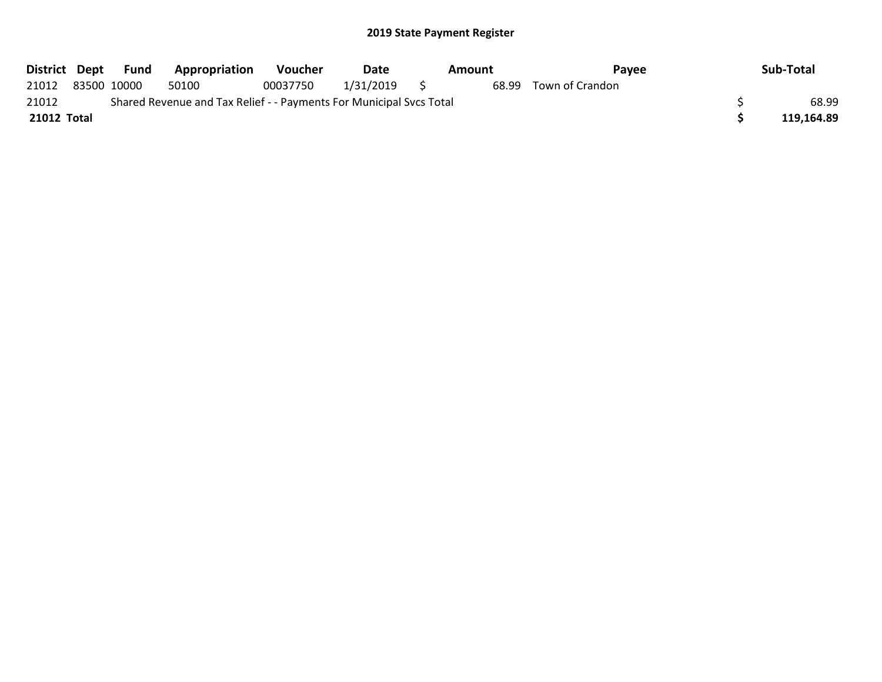| District Dept |                                                                     | Fund | Appropriation | <b>Voucher</b> | Date         |  | Amount | Payee           |  | Sub-Total  |
|---------------|---------------------------------------------------------------------|------|---------------|----------------|--------------|--|--------|-----------------|--|------------|
| 21012         | 83500 10000                                                         |      | 50100         | 00037750       | 1/31/2019 \$ |  | 68.99  | Town of Crandon |  |            |
| 21012         | Shared Revenue and Tax Relief - - Payments For Municipal Svcs Total |      |               |                |              |  |        |                 |  |            |
| 21012 Total   |                                                                     |      |               |                |              |  |        |                 |  | 119,164.89 |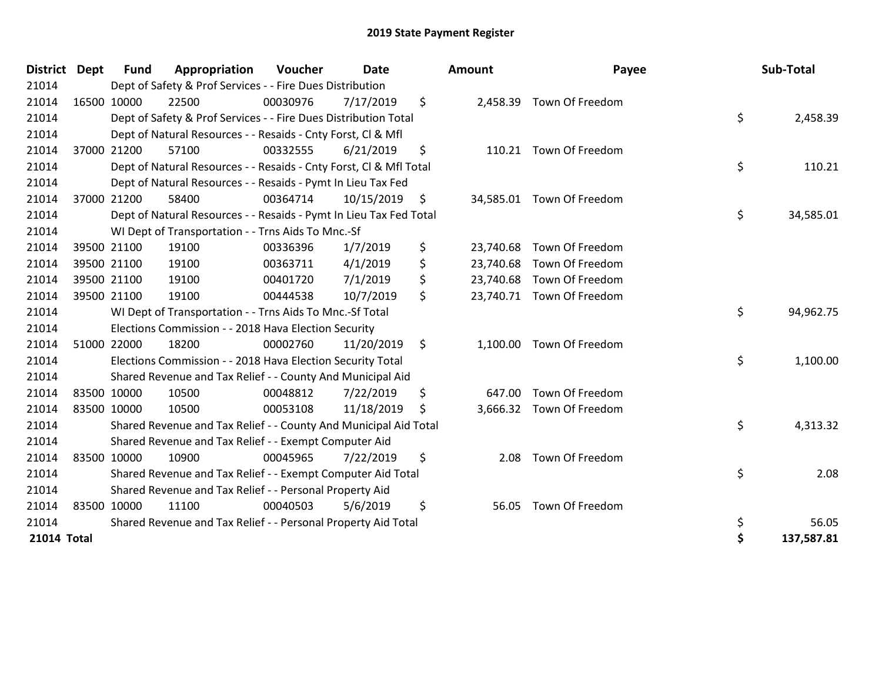| <b>District</b> | <b>Dept</b> | <b>Fund</b> | Appropriation                                                      | Voucher  | <b>Date</b> | <b>Amount</b>   | Payee                     | Sub-Total        |
|-----------------|-------------|-------------|--------------------------------------------------------------------|----------|-------------|-----------------|---------------------------|------------------|
| 21014           |             |             | Dept of Safety & Prof Services - - Fire Dues Distribution          |          |             |                 |                           |                  |
| 21014           |             | 16500 10000 | 22500                                                              | 00030976 | 7/17/2019   | \$              | 2,458.39 Town Of Freedom  |                  |
| 21014           |             |             | Dept of Safety & Prof Services - - Fire Dues Distribution Total    |          |             |                 |                           | \$<br>2,458.39   |
| 21014           |             |             | Dept of Natural Resources - - Resaids - Cnty Forst, Cl & Mfl       |          |             |                 |                           |                  |
| 21014           |             | 37000 21200 | 57100                                                              | 00332555 | 6/21/2019   | \$              | 110.21 Town Of Freedom    |                  |
| 21014           |             |             | Dept of Natural Resources - - Resaids - Cnty Forst, CI & Mfl Total |          |             |                 |                           | \$<br>110.21     |
| 21014           |             |             | Dept of Natural Resources - - Resaids - Pymt In Lieu Tax Fed       |          |             |                 |                           |                  |
| 21014           |             | 37000 21200 | 58400                                                              | 00364714 | 10/15/2019  | \$              | 34,585.01 Town Of Freedom |                  |
| 21014           |             |             | Dept of Natural Resources - - Resaids - Pymt In Lieu Tax Fed Total |          |             |                 |                           | \$<br>34,585.01  |
| 21014           |             |             | WI Dept of Transportation - - Trns Aids To Mnc.-Sf                 |          |             |                 |                           |                  |
| 21014           |             | 39500 21100 | 19100                                                              | 00336396 | 1/7/2019    | \$<br>23,740.68 | Town Of Freedom           |                  |
| 21014           |             | 39500 21100 | 19100                                                              | 00363711 | 4/1/2019    | \$              | 23,740.68 Town Of Freedom |                  |
| 21014           |             | 39500 21100 | 19100                                                              | 00401720 | 7/1/2019    | \$              | 23,740.68 Town Of Freedom |                  |
| 21014           |             | 39500 21100 | 19100                                                              | 00444538 | 10/7/2019   | \$              | 23,740.71 Town Of Freedom |                  |
| 21014           |             |             | WI Dept of Transportation - - Trns Aids To Mnc .- Sf Total         |          |             |                 |                           | \$<br>94,962.75  |
| 21014           |             |             | Elections Commission - - 2018 Hava Election Security               |          |             |                 |                           |                  |
| 21014           |             | 51000 22000 | 18200                                                              | 00002760 | 11/20/2019  | \$              | 1,100.00 Town Of Freedom  |                  |
| 21014           |             |             | Elections Commission - - 2018 Hava Election Security Total         |          |             |                 |                           | \$<br>1,100.00   |
| 21014           |             |             | Shared Revenue and Tax Relief - - County And Municipal Aid         |          |             |                 |                           |                  |
| 21014           |             | 83500 10000 | 10500                                                              | 00048812 | 7/22/2019   | \$              | 647.00 Town Of Freedom    |                  |
| 21014           | 83500 10000 |             | 10500                                                              | 00053108 | 11/18/2019  | \$              | 3,666.32 Town Of Freedom  |                  |
| 21014           |             |             | Shared Revenue and Tax Relief - - County And Municipal Aid Total   |          |             |                 |                           | \$<br>4,313.32   |
| 21014           |             |             | Shared Revenue and Tax Relief - - Exempt Computer Aid              |          |             |                 |                           |                  |
| 21014           |             | 83500 10000 | 10900                                                              | 00045965 | 7/22/2019   | \$<br>2.08      | Town Of Freedom           |                  |
| 21014           |             |             | Shared Revenue and Tax Relief - - Exempt Computer Aid Total        |          |             |                 |                           | \$<br>2.08       |
| 21014           |             |             | Shared Revenue and Tax Relief - - Personal Property Aid            |          |             |                 |                           |                  |
| 21014           |             | 83500 10000 | 11100                                                              | 00040503 | 5/6/2019    | \$<br>56.05     | Town Of Freedom           |                  |
| 21014           |             |             | Shared Revenue and Tax Relief - - Personal Property Aid Total      |          |             |                 |                           | \$<br>56.05      |
| 21014 Total     |             |             |                                                                    |          |             |                 |                           | \$<br>137,587.81 |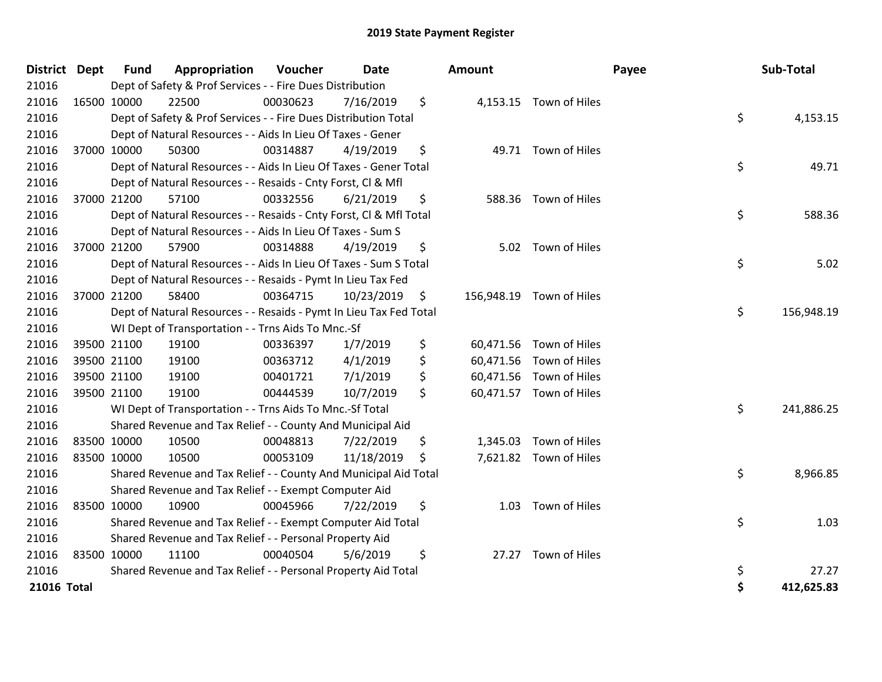| District Dept |             | <b>Fund</b> | Appropriation                                                      | Voucher  | <b>Date</b> | Amount     |                          | Payee | Sub-Total  |
|---------------|-------------|-------------|--------------------------------------------------------------------|----------|-------------|------------|--------------------------|-------|------------|
| 21016         |             |             | Dept of Safety & Prof Services - - Fire Dues Distribution          |          |             |            |                          |       |            |
| 21016         |             | 16500 10000 | 22500                                                              | 00030623 | 7/16/2019   | \$         | 4,153.15 Town of Hiles   |       |            |
| 21016         |             |             | Dept of Safety & Prof Services - - Fire Dues Distribution Total    |          |             |            |                          | \$    | 4,153.15   |
| 21016         |             |             | Dept of Natural Resources - - Aids In Lieu Of Taxes - Gener        |          |             |            |                          |       |            |
| 21016         |             | 37000 10000 | 50300                                                              | 00314887 | 4/19/2019   | \$         | 49.71 Town of Hiles      |       |            |
| 21016         |             |             | Dept of Natural Resources - - Aids In Lieu Of Taxes - Gener Total  |          |             |            |                          | \$    | 49.71      |
| 21016         |             |             | Dept of Natural Resources - - Resaids - Cnty Forst, Cl & Mfl       |          |             |            |                          |       |            |
| 21016         |             | 37000 21200 | 57100                                                              | 00332556 | 6/21/2019   | \$         | 588.36 Town of Hiles     |       |            |
| 21016         |             |             | Dept of Natural Resources - - Resaids - Cnty Forst, Cl & Mfl Total |          |             |            |                          | \$    | 588.36     |
| 21016         |             |             | Dept of Natural Resources - - Aids In Lieu Of Taxes - Sum S        |          |             |            |                          |       |            |
| 21016         |             | 37000 21200 | 57900                                                              | 00314888 | 4/19/2019   | \$<br>5.02 | Town of Hiles            |       |            |
| 21016         |             |             | Dept of Natural Resources - - Aids In Lieu Of Taxes - Sum S Total  |          |             |            |                          | \$    | 5.02       |
| 21016         |             |             | Dept of Natural Resources - - Resaids - Pymt In Lieu Tax Fed       |          |             |            |                          |       |            |
| 21016         |             | 37000 21200 | 58400                                                              | 00364715 | 10/23/2019  | \$         | 156,948.19 Town of Hiles |       |            |
| 21016         |             |             | Dept of Natural Resources - - Resaids - Pymt In Lieu Tax Fed Total |          |             |            |                          | \$    | 156,948.19 |
| 21016         |             |             | WI Dept of Transportation - - Trns Aids To Mnc.-Sf                 |          |             |            |                          |       |            |
| 21016         |             | 39500 21100 | 19100                                                              | 00336397 | 1/7/2019    | \$         | 60,471.56 Town of Hiles  |       |            |
| 21016         |             | 39500 21100 | 19100                                                              | 00363712 | 4/1/2019    | \$         | 60,471.56 Town of Hiles  |       |            |
| 21016         |             | 39500 21100 | 19100                                                              | 00401721 | 7/1/2019    | \$         | 60,471.56 Town of Hiles  |       |            |
| 21016         |             | 39500 21100 | 19100                                                              | 00444539 | 10/7/2019   | \$         | 60,471.57 Town of Hiles  |       |            |
| 21016         |             |             | WI Dept of Transportation - - Trns Aids To Mnc.-Sf Total           |          |             |            |                          | \$    | 241,886.25 |
| 21016         |             |             | Shared Revenue and Tax Relief - - County And Municipal Aid         |          |             |            |                          |       |            |
| 21016         |             | 83500 10000 | 10500                                                              | 00048813 | 7/22/2019   | \$         | 1,345.03 Town of Hiles   |       |            |
| 21016         | 83500 10000 |             | 10500                                                              | 00053109 | 11/18/2019  | \$         | 7,621.82 Town of Hiles   |       |            |
| 21016         |             |             | Shared Revenue and Tax Relief - - County And Municipal Aid Total   |          |             |            |                          | \$    | 8,966.85   |
| 21016         |             |             | Shared Revenue and Tax Relief - - Exempt Computer Aid              |          |             |            |                          |       |            |
| 21016         |             | 83500 10000 | 10900                                                              | 00045966 | 7/22/2019   | \$<br>1.03 | Town of Hiles            |       |            |
| 21016         |             |             | Shared Revenue and Tax Relief - - Exempt Computer Aid Total        |          |             |            |                          | \$    | 1.03       |
| 21016         |             |             | Shared Revenue and Tax Relief - - Personal Property Aid            |          |             |            |                          |       |            |
| 21016         | 83500 10000 |             | 11100                                                              | 00040504 | 5/6/2019    | \$         | 27.27 Town of Hiles      |       |            |
| 21016         |             |             | Shared Revenue and Tax Relief - - Personal Property Aid Total      |          |             |            |                          | \$    | 27.27      |
| 21016 Total   |             |             |                                                                    |          |             |            |                          | \$    | 412,625.83 |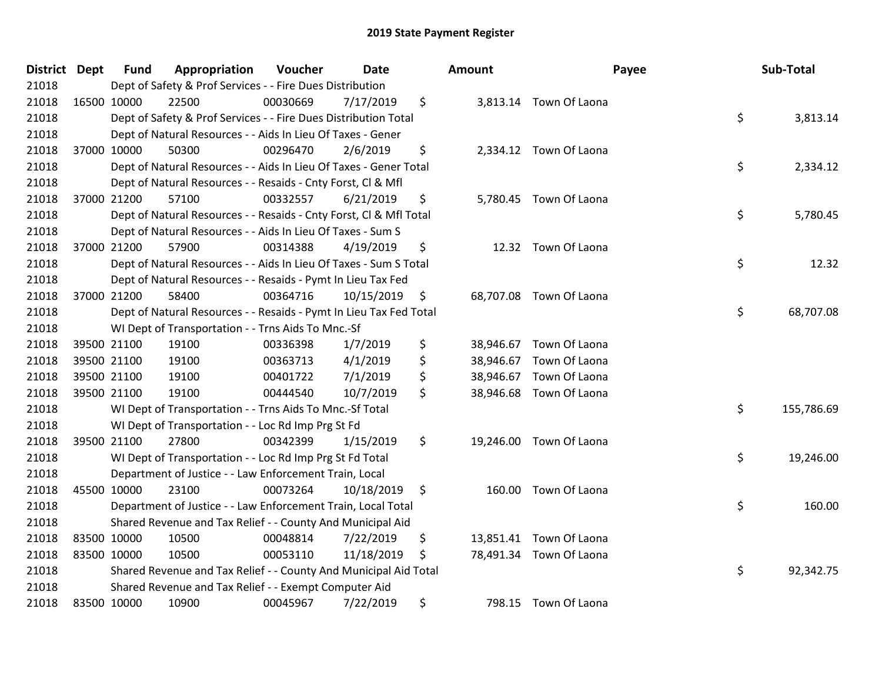| District Dept | <b>Fund</b> | Appropriation                                                      | Voucher  | <b>Date</b> | Amount |                         | Payee | Sub-Total  |
|---------------|-------------|--------------------------------------------------------------------|----------|-------------|--------|-------------------------|-------|------------|
| 21018         |             | Dept of Safety & Prof Services - - Fire Dues Distribution          |          |             |        |                         |       |            |
| 21018         | 16500 10000 | 22500                                                              | 00030669 | 7/17/2019   | \$     | 3,813.14 Town Of Laona  |       |            |
| 21018         |             | Dept of Safety & Prof Services - - Fire Dues Distribution Total    |          |             |        |                         | \$    | 3,813.14   |
| 21018         |             | Dept of Natural Resources - - Aids In Lieu Of Taxes - Gener        |          |             |        |                         |       |            |
| 21018         | 37000 10000 | 50300                                                              | 00296470 | 2/6/2019    | \$     | 2,334.12 Town Of Laona  |       |            |
| 21018         |             | Dept of Natural Resources - - Aids In Lieu Of Taxes - Gener Total  |          |             |        |                         | \$    | 2,334.12   |
| 21018         |             | Dept of Natural Resources - - Resaids - Cnty Forst, Cl & Mfl       |          |             |        |                         |       |            |
| 21018         | 37000 21200 | 57100                                                              | 00332557 | 6/21/2019   | \$     | 5,780.45 Town Of Laona  |       |            |
| 21018         |             | Dept of Natural Resources - - Resaids - Cnty Forst, Cl & Mfl Total |          |             |        |                         | \$    | 5,780.45   |
| 21018         |             | Dept of Natural Resources - - Aids In Lieu Of Taxes - Sum S        |          |             |        |                         |       |            |
| 21018         | 37000 21200 | 57900                                                              | 00314388 | 4/19/2019   | \$     | 12.32 Town Of Laona     |       |            |
| 21018         |             | Dept of Natural Resources - - Aids In Lieu Of Taxes - Sum S Total  |          |             |        |                         | \$    | 12.32      |
| 21018         |             | Dept of Natural Resources - - Resaids - Pymt In Lieu Tax Fed       |          |             |        |                         |       |            |
| 21018         | 37000 21200 | 58400                                                              | 00364716 | 10/15/2019  | \$     | 68,707.08 Town Of Laona |       |            |
| 21018         |             | Dept of Natural Resources - - Resaids - Pymt In Lieu Tax Fed Total |          |             |        |                         | \$    | 68,707.08  |
| 21018         |             | WI Dept of Transportation - - Trns Aids To Mnc.-Sf                 |          |             |        |                         |       |            |
| 21018         | 39500 21100 | 19100                                                              | 00336398 | 1/7/2019    | \$     | 38,946.67 Town Of Laona |       |            |
| 21018         | 39500 21100 | 19100                                                              | 00363713 | 4/1/2019    | \$     | 38,946.67 Town Of Laona |       |            |
| 21018         | 39500 21100 | 19100                                                              | 00401722 | 7/1/2019    | \$     | 38,946.67 Town Of Laona |       |            |
| 21018         | 39500 21100 | 19100                                                              | 00444540 | 10/7/2019   | \$     | 38,946.68 Town Of Laona |       |            |
| 21018         |             | WI Dept of Transportation - - Trns Aids To Mnc.-Sf Total           |          |             |        |                         | \$    | 155,786.69 |
| 21018         |             | WI Dept of Transportation - - Loc Rd Imp Prg St Fd                 |          |             |        |                         |       |            |
| 21018         | 39500 21100 | 27800                                                              | 00342399 | 1/15/2019   | \$     | 19,246.00 Town Of Laona |       |            |
| 21018         |             | WI Dept of Transportation - - Loc Rd Imp Prg St Fd Total           |          |             |        |                         | \$    | 19,246.00  |
| 21018         |             | Department of Justice - - Law Enforcement Train, Local             |          |             |        |                         |       |            |
| 21018         | 45500 10000 | 23100                                                              | 00073264 | 10/18/2019  | \$     | 160.00 Town Of Laona    |       |            |
| 21018         |             | Department of Justice - - Law Enforcement Train, Local Total       |          |             |        |                         | \$    | 160.00     |
| 21018         |             | Shared Revenue and Tax Relief - - County And Municipal Aid         |          |             |        |                         |       |            |
| 21018         | 83500 10000 | 10500                                                              | 00048814 | 7/22/2019   | \$     | 13,851.41 Town Of Laona |       |            |
| 21018         | 83500 10000 | 10500                                                              | 00053110 | 11/18/2019  | \$     | 78,491.34 Town Of Laona |       |            |
| 21018         |             | Shared Revenue and Tax Relief - - County And Municipal Aid Total   |          |             |        |                         | \$    | 92,342.75  |
| 21018         |             | Shared Revenue and Tax Relief - - Exempt Computer Aid              |          |             |        |                         |       |            |
| 21018         | 83500 10000 | 10900                                                              | 00045967 | 7/22/2019   | \$     | 798.15 Town Of Laona    |       |            |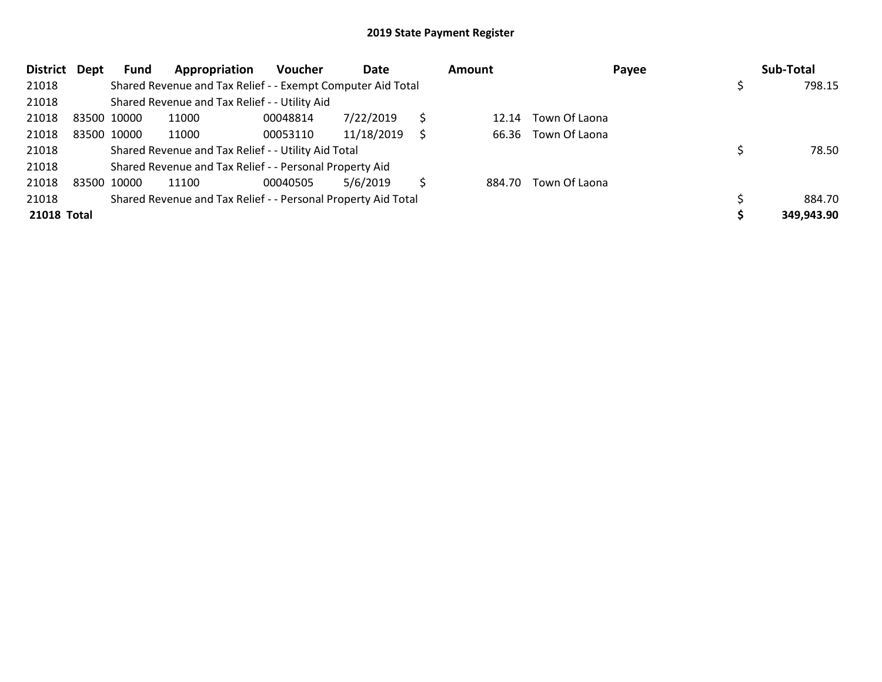| <b>District</b>    | Dept | Fund        | Appropriation                                                 | <b>Voucher</b> | Date       |   | Amount |                     | Payee | Sub-Total  |
|--------------------|------|-------------|---------------------------------------------------------------|----------------|------------|---|--------|---------------------|-------|------------|
| 21018              |      |             | Shared Revenue and Tax Relief - - Exempt Computer Aid Total   |                |            |   |        |                     |       | 798.15     |
| 21018              |      |             | Shared Revenue and Tax Relief - - Utility Aid                 |                |            |   |        |                     |       |            |
| 21018              |      | 83500 10000 | 11000                                                         | 00048814       | 7/22/2019  |   | 12.14  | Town Of Laona       |       |            |
| 21018              |      | 83500 10000 | 11000                                                         | 00053110       | 11/18/2019 | S |        | 66.36 Town Of Laona |       |            |
| 21018              |      |             | Shared Revenue and Tax Relief - - Utility Aid Total           |                |            |   |        |                     |       | 78.50      |
| 21018              |      |             | Shared Revenue and Tax Relief - - Personal Property Aid       |                |            |   |        |                     |       |            |
| 21018              |      | 83500 10000 | 11100                                                         | 00040505       | 5/6/2019   | Ś | 884.70 | Town Of Laona       |       |            |
| 21018              |      |             | Shared Revenue and Tax Relief - - Personal Property Aid Total |                |            |   |        |                     |       | 884.70     |
| <b>21018 Total</b> |      |             |                                                               |                |            |   |        |                     |       | 349,943.90 |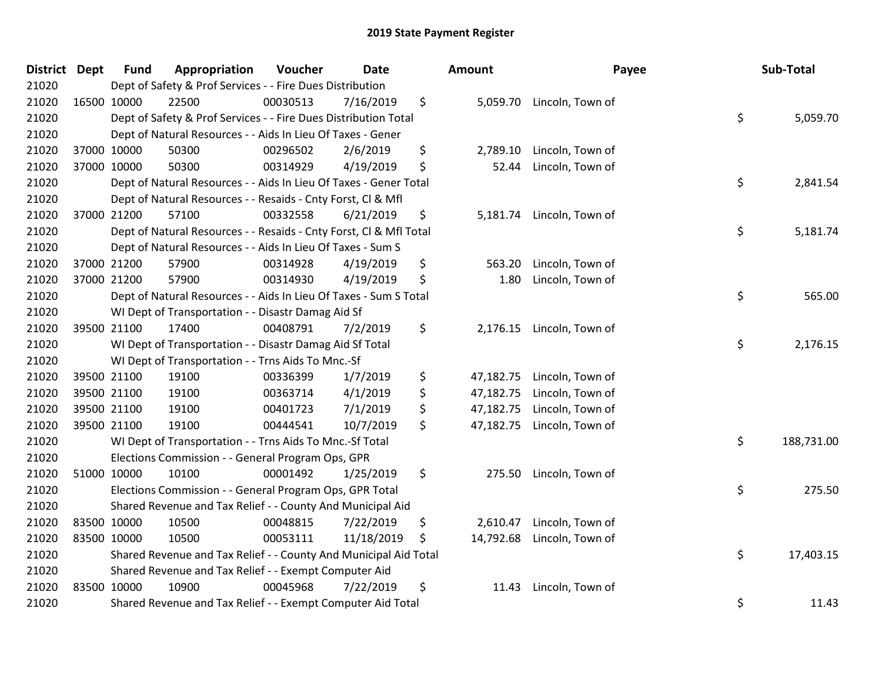| District Dept | <b>Fund</b> | Appropriation                                                      | Voucher  | <b>Date</b> |     | <b>Amount</b> | Payee                     | Sub-Total        |
|---------------|-------------|--------------------------------------------------------------------|----------|-------------|-----|---------------|---------------------------|------------------|
| 21020         |             | Dept of Safety & Prof Services - - Fire Dues Distribution          |          |             |     |               |                           |                  |
| 21020         | 16500 10000 | 22500                                                              | 00030513 | 7/16/2019   | \$  |               | 5,059.70 Lincoln, Town of |                  |
| 21020         |             | Dept of Safety & Prof Services - - Fire Dues Distribution Total    |          |             |     |               |                           | \$<br>5,059.70   |
| 21020         |             | Dept of Natural Resources - - Aids In Lieu Of Taxes - Gener        |          |             |     |               |                           |                  |
| 21020         | 37000 10000 | 50300                                                              | 00296502 | 2/6/2019    | \$  | 2,789.10      | Lincoln, Town of          |                  |
| 21020         | 37000 10000 | 50300                                                              | 00314929 | 4/19/2019   | \$  | 52.44         | Lincoln, Town of          |                  |
| 21020         |             | Dept of Natural Resources - - Aids In Lieu Of Taxes - Gener Total  |          |             |     |               |                           | \$<br>2,841.54   |
| 21020         |             | Dept of Natural Resources - - Resaids - Cnty Forst, Cl & Mfl       |          |             |     |               |                           |                  |
| 21020         | 37000 21200 | 57100                                                              | 00332558 | 6/21/2019   | \$  |               | 5,181.74 Lincoln, Town of |                  |
| 21020         |             | Dept of Natural Resources - - Resaids - Cnty Forst, Cl & Mfl Total |          |             |     |               |                           | \$<br>5,181.74   |
| 21020         |             | Dept of Natural Resources - - Aids In Lieu Of Taxes - Sum S        |          |             |     |               |                           |                  |
| 21020         | 37000 21200 | 57900                                                              | 00314928 | 4/19/2019   | \$  | 563.20        | Lincoln, Town of          |                  |
| 21020         | 37000 21200 | 57900                                                              | 00314930 | 4/19/2019   | \$  | 1.80          | Lincoln, Town of          |                  |
| 21020         |             | Dept of Natural Resources - - Aids In Lieu Of Taxes - Sum S Total  |          |             |     |               |                           | \$<br>565.00     |
| 21020         |             | WI Dept of Transportation - - Disastr Damag Aid Sf                 |          |             |     |               |                           |                  |
| 21020         | 39500 21100 | 17400                                                              | 00408791 | 7/2/2019    | \$  | 2,176.15      | Lincoln, Town of          |                  |
| 21020         |             | WI Dept of Transportation - - Disastr Damag Aid Sf Total           |          |             |     |               |                           | \$<br>2,176.15   |
| 21020         |             | WI Dept of Transportation - - Trns Aids To Mnc.-Sf                 |          |             |     |               |                           |                  |
| 21020         | 39500 21100 | 19100                                                              | 00336399 | 1/7/2019    | \$  | 47,182.75     | Lincoln, Town of          |                  |
| 21020         | 39500 21100 | 19100                                                              | 00363714 | 4/1/2019    | \$  | 47,182.75     | Lincoln, Town of          |                  |
| 21020         | 39500 21100 | 19100                                                              | 00401723 | 7/1/2019    | \$  | 47,182.75     | Lincoln, Town of          |                  |
| 21020         | 39500 21100 | 19100                                                              | 00444541 | 10/7/2019   | \$  | 47,182.75     | Lincoln, Town of          |                  |
| 21020         |             | WI Dept of Transportation - - Trns Aids To Mnc.-Sf Total           |          |             |     |               |                           | \$<br>188,731.00 |
| 21020         |             | Elections Commission - - General Program Ops, GPR                  |          |             |     |               |                           |                  |
| 21020         | 51000 10000 | 10100                                                              | 00001492 | 1/25/2019   | \$  | 275.50        | Lincoln, Town of          |                  |
| 21020         |             | Elections Commission - - General Program Ops, GPR Total            |          |             |     |               |                           | \$<br>275.50     |
| 21020         |             | Shared Revenue and Tax Relief - - County And Municipal Aid         |          |             |     |               |                           |                  |
| 21020         | 83500 10000 | 10500                                                              | 00048815 | 7/22/2019   | \$  | 2,610.47      | Lincoln, Town of          |                  |
| 21020         | 83500 10000 | 10500                                                              | 00053111 | 11/18/2019  | \$. | 14,792.68     | Lincoln, Town of          |                  |
| 21020         |             | Shared Revenue and Tax Relief - - County And Municipal Aid Total   |          |             |     |               |                           | \$<br>17,403.15  |
| 21020         |             | Shared Revenue and Tax Relief - - Exempt Computer Aid              |          |             |     |               |                           |                  |
| 21020         | 83500 10000 | 10900                                                              | 00045968 | 7/22/2019   | \$  | 11.43         | Lincoln, Town of          |                  |
| 21020         |             | Shared Revenue and Tax Relief - - Exempt Computer Aid Total        |          |             |     |               |                           | \$<br>11.43      |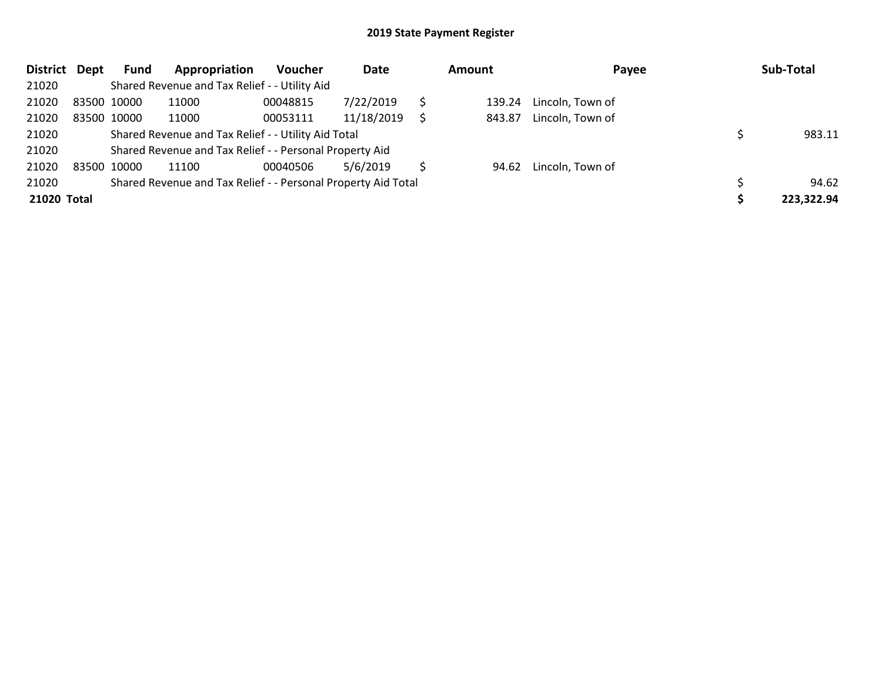| <b>District</b> | Dept | Fund        | Appropriation                                                 | <b>Voucher</b> | Date       | <b>Amount</b> |        | Payee            |  | Sub-Total  |  |
|-----------------|------|-------------|---------------------------------------------------------------|----------------|------------|---------------|--------|------------------|--|------------|--|
| 21020           |      |             | Shared Revenue and Tax Relief - - Utility Aid                 |                |            |               |        |                  |  |            |  |
| 21020           |      | 83500 10000 | 11000                                                         | 00048815       | 7/22/2019  |               | 139.24 | Lincoln, Town of |  |            |  |
| 21020           |      | 83500 10000 | 11000                                                         | 00053111       | 11/18/2019 |               | 843.87 | Lincoln, Town of |  |            |  |
| 21020           |      |             | Shared Revenue and Tax Relief - - Utility Aid Total           |                | 983.11     |               |        |                  |  |            |  |
| 21020           |      |             | Shared Revenue and Tax Relief - - Personal Property Aid       |                |            |               |        |                  |  |            |  |
| 21020           |      | 83500 10000 | 11100                                                         | 00040506       | 5/6/2019   |               | 94.62  | Lincoln, Town of |  |            |  |
| 21020           |      |             | Shared Revenue and Tax Relief - - Personal Property Aid Total |                |            |               |        |                  |  | 94.62      |  |
| 21020 Total     |      |             |                                                               |                |            |               |        |                  |  | 223,322.94 |  |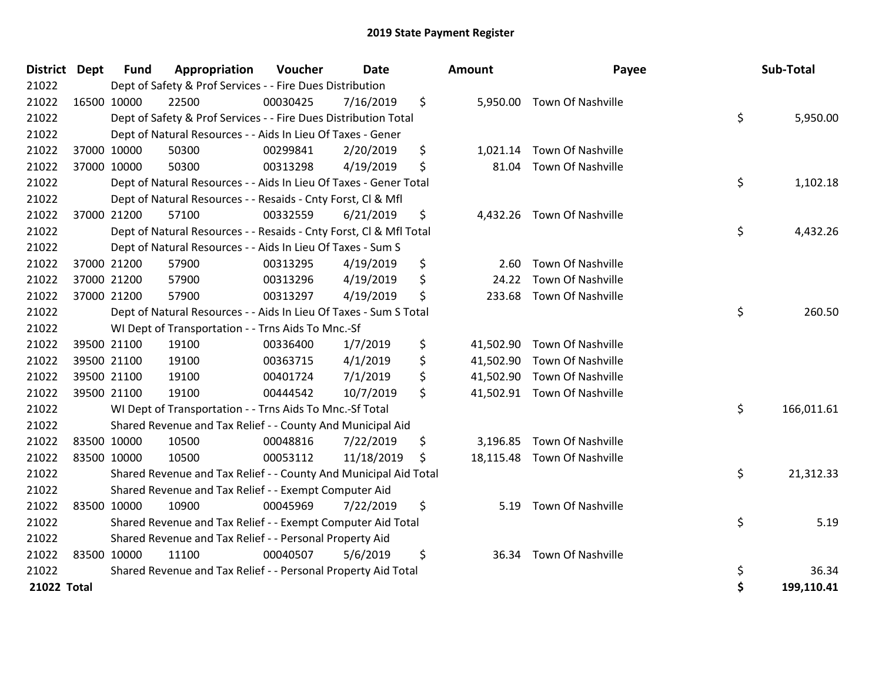| District Dept | <b>Fund</b> | Appropriation                                                      | Voucher  | <b>Date</b> |    | <b>Amount</b> | Payee                       |    | Sub-Total  |
|---------------|-------------|--------------------------------------------------------------------|----------|-------------|----|---------------|-----------------------------|----|------------|
| 21022         |             | Dept of Safety & Prof Services - - Fire Dues Distribution          |          |             |    |               |                             |    |            |
| 21022         | 16500 10000 | 22500                                                              | 00030425 | 7/16/2019   | \$ | 5,950.00      | <b>Town Of Nashville</b>    |    |            |
| 21022         |             | Dept of Safety & Prof Services - - Fire Dues Distribution Total    |          |             |    |               |                             | \$ | 5,950.00   |
| 21022         |             | Dept of Natural Resources - - Aids In Lieu Of Taxes - Gener        |          |             |    |               |                             |    |            |
| 21022         | 37000 10000 | 50300                                                              | 00299841 | 2/20/2019   | \$ | 1,021.14      | Town Of Nashville           |    |            |
| 21022         | 37000 10000 | 50300                                                              | 00313298 | 4/19/2019   | \$ | 81.04         | Town Of Nashville           |    |            |
| 21022         |             | Dept of Natural Resources - - Aids In Lieu Of Taxes - Gener Total  |          |             |    |               |                             | \$ | 1,102.18   |
| 21022         |             | Dept of Natural Resources - - Resaids - Cnty Forst, Cl & Mfl       |          |             |    |               |                             |    |            |
| 21022         | 37000 21200 | 57100                                                              | 00332559 | 6/21/2019   | \$ | 4,432.26      | Town Of Nashville           |    |            |
| 21022         |             | Dept of Natural Resources - - Resaids - Cnty Forst, Cl & Mfl Total |          |             |    |               |                             | \$ | 4,432.26   |
| 21022         |             | Dept of Natural Resources - - Aids In Lieu Of Taxes - Sum S        |          |             |    |               |                             |    |            |
| 21022         | 37000 21200 | 57900                                                              | 00313295 | 4/19/2019   | \$ | 2.60          | <b>Town Of Nashville</b>    |    |            |
| 21022         | 37000 21200 | 57900                                                              | 00313296 | 4/19/2019   | \$ | 24.22         | Town Of Nashville           |    |            |
| 21022         | 37000 21200 | 57900                                                              | 00313297 | 4/19/2019   | \$ | 233.68        | <b>Town Of Nashville</b>    |    |            |
| 21022         |             | Dept of Natural Resources - - Aids In Lieu Of Taxes - Sum S Total  |          |             |    |               |                             | \$ | 260.50     |
| 21022         |             | WI Dept of Transportation - - Trns Aids To Mnc.-Sf                 |          |             |    |               |                             |    |            |
| 21022         | 39500 21100 | 19100                                                              | 00336400 | 1/7/2019    | \$ | 41,502.90     | Town Of Nashville           |    |            |
| 21022         | 39500 21100 | 19100                                                              | 00363715 | 4/1/2019    | \$ | 41,502.90     | Town Of Nashville           |    |            |
| 21022         | 39500 21100 | 19100                                                              | 00401724 | 7/1/2019    | \$ | 41,502.90     | Town Of Nashville           |    |            |
| 21022         | 39500 21100 | 19100                                                              | 00444542 | 10/7/2019   | \$ |               | 41,502.91 Town Of Nashville |    |            |
| 21022         |             | WI Dept of Transportation - - Trns Aids To Mnc.-Sf Total           |          |             |    |               |                             | \$ | 166,011.61 |
| 21022         |             | Shared Revenue and Tax Relief - - County And Municipal Aid         |          |             |    |               |                             |    |            |
| 21022         | 83500 10000 | 10500                                                              | 00048816 | 7/22/2019   | \$ | 3,196.85      | Town Of Nashville           |    |            |
| 21022         | 83500 10000 | 10500                                                              | 00053112 | 11/18/2019  | \$ | 18,115.48     | Town Of Nashville           |    |            |
| 21022         |             | Shared Revenue and Tax Relief - - County And Municipal Aid Total   |          |             |    |               |                             | \$ | 21,312.33  |
| 21022         |             | Shared Revenue and Tax Relief - - Exempt Computer Aid              |          |             |    |               |                             |    |            |
| 21022         | 83500 10000 | 10900                                                              | 00045969 | 7/22/2019   | \$ | 5.19          | Town Of Nashville           |    |            |
| 21022         |             | Shared Revenue and Tax Relief - - Exempt Computer Aid Total        |          |             |    |               |                             | \$ | 5.19       |
| 21022         |             | Shared Revenue and Tax Relief - - Personal Property Aid            |          |             |    |               |                             |    |            |
| 21022         | 83500 10000 | 11100                                                              | 00040507 | 5/6/2019    | \$ |               | 36.34 Town Of Nashville     |    |            |
| 21022         |             | Shared Revenue and Tax Relief - - Personal Property Aid Total      |          |             |    |               |                             | \$ | 36.34      |
| 21022 Total   |             |                                                                    |          |             |    |               |                             | \$ | 199,110.41 |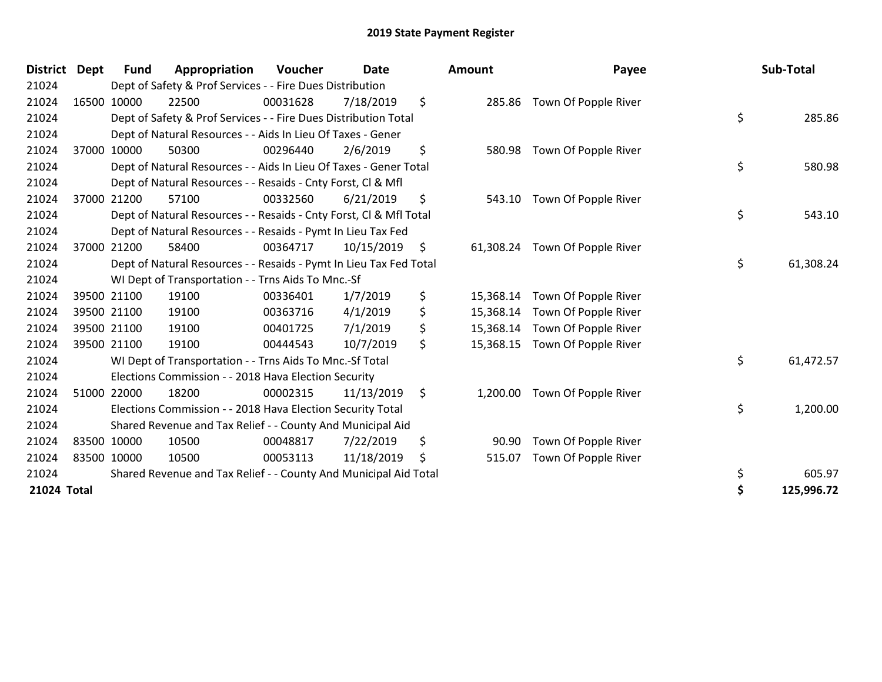| <b>District</b> | Dept  | <b>Fund</b> | Appropriation                                                      | Voucher  | <b>Date</b> | Amount    |           | Payee                       | Sub-Total |            |
|-----------------|-------|-------------|--------------------------------------------------------------------|----------|-------------|-----------|-----------|-----------------------------|-----------|------------|
| 21024           |       |             | Dept of Safety & Prof Services - - Fire Dues Distribution          |          |             |           |           |                             |           |            |
| 21024           |       | 16500 10000 | 22500                                                              | 00031628 | 7/18/2019   | \$        |           | 285.86 Town Of Popple River |           |            |
| 21024           |       |             | Dept of Safety & Prof Services - - Fire Dues Distribution Total    |          |             |           |           |                             | \$        | 285.86     |
| 21024           |       |             | Dept of Natural Resources - - Aids In Lieu Of Taxes - Gener        |          |             |           |           |                             |           |            |
| 21024           | 37000 | 10000       | 50300                                                              | 00296440 | 2/6/2019    | \$        | 580.98    | Town Of Popple River        |           |            |
| 21024           |       |             | Dept of Natural Resources - - Aids In Lieu Of Taxes - Gener Total  |          |             |           |           |                             | \$        | 580.98     |
| 21024           |       |             | Dept of Natural Resources - - Resaids - Cnty Forst, Cl & Mfl       |          |             |           |           |                             |           |            |
| 21024           |       | 37000 21200 | 57100                                                              | 00332560 | 6/21/2019   | \$        | 543.10    | Town Of Popple River        |           |            |
| 21024           |       |             | Dept of Natural Resources - - Resaids - Cnty Forst, Cl & Mfl Total |          | \$          | 543.10    |           |                             |           |            |
| 21024           |       |             | Dept of Natural Resources - - Resaids - Pymt In Lieu Tax Fed       |          |             |           |           |                             |           |            |
| 21024           |       | 37000 21200 | 58400                                                              | 00364717 | 10/15/2019  | \$        | 61,308.24 | Town Of Popple River        |           |            |
| 21024           |       |             | Dept of Natural Resources - - Resaids - Pymt In Lieu Tax Fed Total |          | \$          | 61,308.24 |           |                             |           |            |
| 21024           |       |             | WI Dept of Transportation - - Trns Aids To Mnc.-Sf                 |          |             |           |           |                             |           |            |
| 21024           |       | 39500 21100 | 19100                                                              | 00336401 | 1/7/2019    | \$        | 15,368.14 | Town Of Popple River        |           |            |
| 21024           |       | 39500 21100 | 19100                                                              | 00363716 | 4/1/2019    | \$        | 15,368.14 | Town Of Popple River        |           |            |
| 21024           |       | 39500 21100 | 19100                                                              | 00401725 | 7/1/2019    | \$        | 15,368.14 | Town Of Popple River        |           |            |
| 21024           |       | 39500 21100 | 19100                                                              | 00444543 | 10/7/2019   | \$        | 15,368.15 | Town Of Popple River        |           |            |
| 21024           |       |             | WI Dept of Transportation - - Trns Aids To Mnc.-Sf Total           |          |             |           |           |                             | \$        | 61,472.57  |
| 21024           |       |             | Elections Commission - - 2018 Hava Election Security               |          |             |           |           |                             |           |            |
| 21024           |       | 51000 22000 | 18200                                                              | 00002315 | 11/13/2019  | \$        | 1,200.00  | Town Of Popple River        |           |            |
| 21024           |       |             | Elections Commission - - 2018 Hava Election Security Total         |          |             |           |           |                             | \$        | 1,200.00   |
| 21024           |       |             | Shared Revenue and Tax Relief - - County And Municipal Aid         |          |             |           |           |                             |           |            |
| 21024           |       | 83500 10000 | 10500                                                              | 00048817 | 7/22/2019   | \$        | 90.90     | Town Of Popple River        |           |            |
| 21024           |       | 83500 10000 | 10500                                                              | 00053113 | 11/18/2019  | \$        | 515.07    | Town Of Popple River        |           |            |
| 21024           |       |             | Shared Revenue and Tax Relief - - County And Municipal Aid Total   |          |             |           |           |                             | \$        | 605.97     |
| 21024 Total     |       |             |                                                                    |          |             |           |           |                             | \$        | 125.996.72 |

| District Dept | Fund                                                       | Appropriation                                                      | Voucher  | <b>Date</b> |      | <b>Amount</b> | Payee                          |    | Sub-Total  |
|---------------|------------------------------------------------------------|--------------------------------------------------------------------|----------|-------------|------|---------------|--------------------------------|----|------------|
| 21024         |                                                            | Dept of Safety & Prof Services - - Fire Dues Distribution          |          |             |      |               |                                |    |            |
| 21024         | 16500 10000                                                | 22500                                                              | 00031628 | 7/18/2019   | \$   | 285.86        | Town Of Popple River           |    |            |
| 21024         |                                                            | Dept of Safety & Prof Services - - Fire Dues Distribution Total    |          |             |      |               |                                | \$ | 285.86     |
| 21024         |                                                            | Dept of Natural Resources - - Aids In Lieu Of Taxes - Gener        |          |             |      |               |                                |    |            |
| 21024         | 37000 10000                                                | 50300                                                              | 00296440 | 2/6/2019    | \$   | 580.98        | Town Of Popple River           |    |            |
| 21024         |                                                            | Dept of Natural Resources - - Aids In Lieu Of Taxes - Gener Total  |          |             |      |               |                                | \$ | 580.98     |
| 21024         |                                                            | Dept of Natural Resources - - Resaids - Cnty Forst, CI & Mfl       |          |             |      |               |                                |    |            |
| 21024         | 37000 21200                                                | 57100                                                              | 00332560 | 6/21/2019   | S    |               | 543.10 Town Of Popple River    |    |            |
| 21024         |                                                            | Dept of Natural Resources - - Resaids - Cnty Forst, CI & Mfl Total |          |             |      |               |                                | \$ | 543.10     |
| 21024         |                                                            | Dept of Natural Resources - - Resaids - Pymt In Lieu Tax Fed       |          |             |      |               |                                |    |            |
| 21024         | 37000 21200                                                | 58400                                                              | 00364717 | 10/15/2019  | - \$ |               | 61,308.24 Town Of Popple River |    |            |
| 21024         |                                                            | Dept of Natural Resources - - Resaids - Pymt In Lieu Tax Fed Total |          |             |      |               |                                | \$ | 61,308.24  |
| 21024         |                                                            | WI Dept of Transportation - - Trns Aids To Mnc.-Sf                 |          |             |      |               |                                |    |            |
| 21024         | 39500 21100                                                | 19100                                                              | 00336401 | 1/7/2019    | \$   | 15,368.14     | Town Of Popple River           |    |            |
| 21024         | 39500 21100                                                | 19100                                                              | 00363716 | 4/1/2019    | \$   |               | 15,368.14 Town Of Popple River |    |            |
| 21024         | 39500 21100                                                | 19100                                                              | 00401725 | 7/1/2019    | \$   |               | 15,368.14 Town Of Popple River |    |            |
| 21024         | 39500 21100                                                | 19100                                                              | 00444543 | 10/7/2019   | \$   | 15,368.15     | Town Of Popple River           |    |            |
| 21024         |                                                            | WI Dept of Transportation - - Trns Aids To Mnc.-Sf Total           |          |             |      |               |                                | \$ | 61,472.57  |
| 21024         |                                                            | Elections Commission - - 2018 Hava Election Security               |          |             |      |               |                                |    |            |
| 21024         | 51000 22000                                                | 18200                                                              | 00002315 | 11/13/2019  | \$   | 1,200.00      | Town Of Popple River           |    |            |
| 21024         |                                                            | Elections Commission - - 2018 Hava Election Security Total         |          |             |      |               |                                | \$ | 1,200.00   |
| 21024         | Shared Revenue and Tax Relief - - County And Municipal Aid |                                                                    |          |             |      |               |                                |    |            |
| 21024         | 83500 10000                                                | 10500                                                              | 00048817 | 7/22/2019   | \$   | 90.90         | Town Of Popple River           |    |            |
| 21024         | 83500 10000                                                | 10500                                                              | 00053113 | 11/18/2019  | \$   | 515.07        | Town Of Popple River           |    |            |
| 21024         |                                                            | Shared Revenue and Tax Relief - - County And Municipal Aid Total   |          |             |      |               |                                | \$ | 605.97     |
| 21024 Total   |                                                            |                                                                    |          |             |      |               |                                |    | 125,996.72 |
|               |                                                            |                                                                    |          |             |      |               |                                |    |            |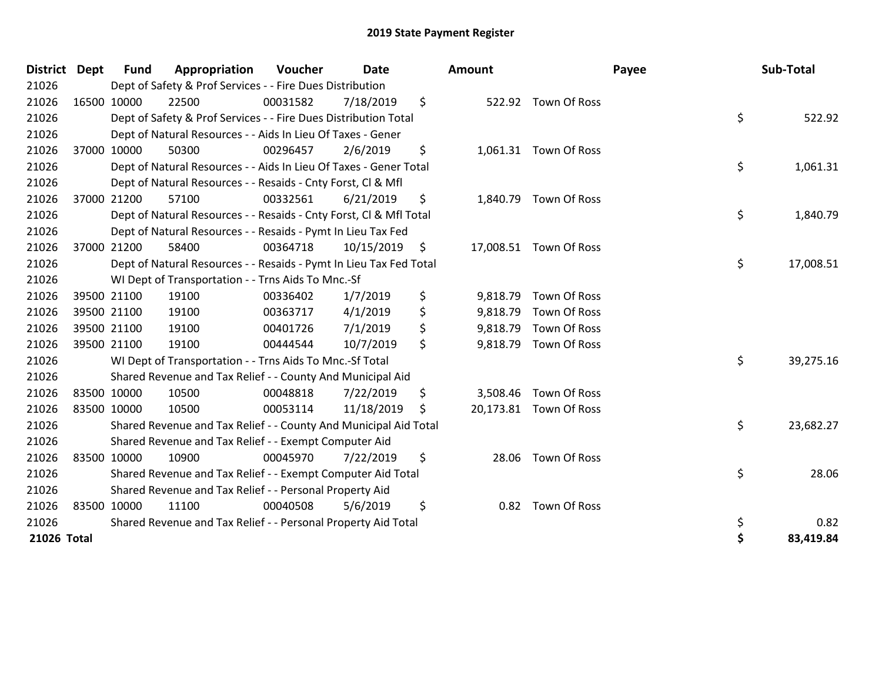| <b>District</b> | <b>Dept</b> | <b>Fund</b> | Appropriation                                                      | Voucher  | <b>Date</b> | Amount         |                        | Payee | Sub-Total |
|-----------------|-------------|-------------|--------------------------------------------------------------------|----------|-------------|----------------|------------------------|-------|-----------|
| 21026           |             |             | Dept of Safety & Prof Services - - Fire Dues Distribution          |          |             |                |                        |       |           |
| 21026           | 16500 10000 |             | 22500                                                              | 00031582 | 7/18/2019   | \$             | 522.92 Town Of Ross    |       |           |
| 21026           |             |             | Dept of Safety & Prof Services - - Fire Dues Distribution Total    |          |             |                |                        | \$    | 522.92    |
| 21026           |             |             | Dept of Natural Resources - - Aids In Lieu Of Taxes - Gener        |          |             |                |                        |       |           |
| 21026           |             | 37000 10000 | 50300                                                              | 00296457 | 2/6/2019    | \$             | 1,061.31 Town Of Ross  |       |           |
| 21026           |             |             | Dept of Natural Resources - - Aids In Lieu Of Taxes - Gener Total  |          |             |                |                        | \$    | 1,061.31  |
| 21026           |             |             | Dept of Natural Resources - - Resaids - Cnty Forst, CI & Mfl       |          |             |                |                        |       |           |
| 21026           |             | 37000 21200 | 57100                                                              | 00332561 | 6/21/2019   | \$             | 1,840.79 Town Of Ross  |       |           |
| 21026           |             |             | Dept of Natural Resources - - Resaids - Cnty Forst, Cl & Mfl Total |          |             |                |                        | \$    | 1,840.79  |
| 21026           |             |             | Dept of Natural Resources - - Resaids - Pymt In Lieu Tax Fed       |          |             |                |                        |       |           |
| 21026           |             | 37000 21200 | 58400                                                              | 00364718 | 10/15/2019  | \$             | 17,008.51 Town Of Ross |       |           |
| 21026           |             |             | Dept of Natural Resources - - Resaids - Pymt In Lieu Tax Fed Total |          |             |                |                        | \$    | 17,008.51 |
| 21026           |             |             | WI Dept of Transportation - - Trns Aids To Mnc.-Sf                 |          |             |                |                        |       |           |
| 21026           |             | 39500 21100 | 19100                                                              | 00336402 | 1/7/2019    | \$<br>9,818.79 | Town Of Ross           |       |           |
| 21026           |             | 39500 21100 | 19100                                                              | 00363717 | 4/1/2019    | \$             | 9,818.79 Town Of Ross  |       |           |
| 21026           |             | 39500 21100 | 19100                                                              | 00401726 | 7/1/2019    | \$             | 9,818.79 Town Of Ross  |       |           |
| 21026           |             | 39500 21100 | 19100                                                              | 00444544 | 10/7/2019   | \$             | 9,818.79 Town Of Ross  |       |           |
| 21026           |             |             | WI Dept of Transportation - - Trns Aids To Mnc.-Sf Total           |          |             |                |                        | \$    | 39,275.16 |
| 21026           |             |             | Shared Revenue and Tax Relief - - County And Municipal Aid         |          |             |                |                        |       |           |
| 21026           | 83500 10000 |             | 10500                                                              | 00048818 | 7/22/2019   | \$             | 3,508.46 Town Of Ross  |       |           |
| 21026           | 83500 10000 |             | 10500                                                              | 00053114 | 11/18/2019  | \$             | 20,173.81 Town Of Ross |       |           |
| 21026           |             |             | Shared Revenue and Tax Relief - - County And Municipal Aid Total   |          |             |                |                        | \$    | 23,682.27 |
| 21026           |             |             | Shared Revenue and Tax Relief - - Exempt Computer Aid              |          |             |                |                        |       |           |
| 21026           | 83500 10000 |             | 10900                                                              | 00045970 | 7/22/2019   | \$             | 28.06 Town Of Ross     |       |           |
| 21026           |             |             | Shared Revenue and Tax Relief - - Exempt Computer Aid Total        |          |             |                |                        | \$    | 28.06     |
| 21026           |             |             | Shared Revenue and Tax Relief - - Personal Property Aid            |          |             |                |                        |       |           |
| 21026           | 83500 10000 |             | 11100                                                              | 00040508 | 5/6/2019    | \$<br>0.82     | Town Of Ross           |       |           |
| 21026           |             |             | Shared Revenue and Tax Relief - - Personal Property Aid Total      |          |             |                |                        | \$    | 0.82      |
| 21026 Total     |             |             |                                                                    |          |             |                |                        | \$    | 83,419.84 |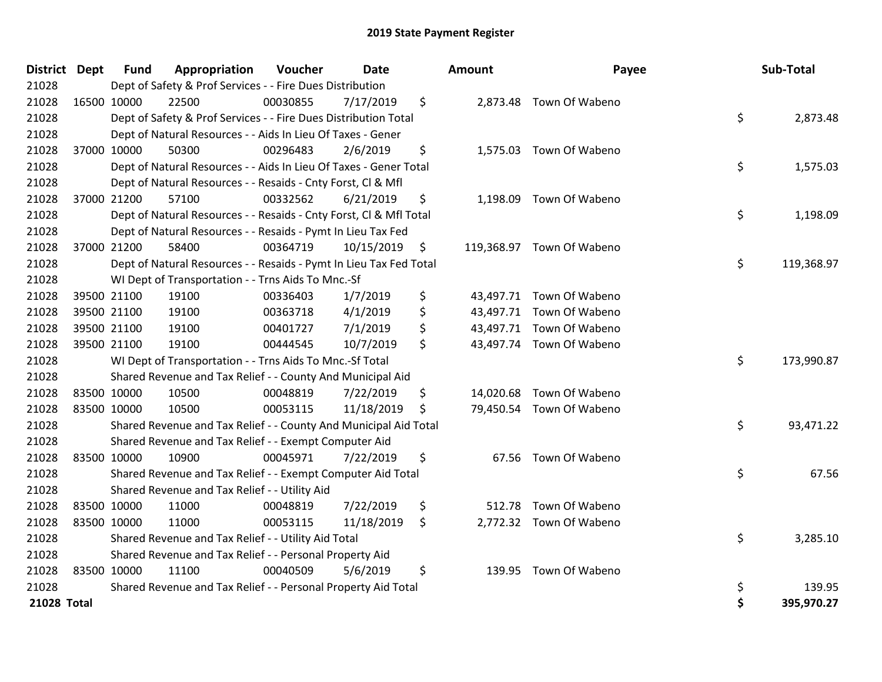| <b>District Dept</b> |             | <b>Fund</b> | Appropriation                                                      | Voucher  | <b>Date</b> |    | <b>Amount</b> | Payee                     |    | Sub-Total  |
|----------------------|-------------|-------------|--------------------------------------------------------------------|----------|-------------|----|---------------|---------------------------|----|------------|
| 21028                |             |             | Dept of Safety & Prof Services - - Fire Dues Distribution          |          |             |    |               |                           |    |            |
| 21028                |             | 16500 10000 | 22500                                                              | 00030855 | 7/17/2019   | \$ |               | 2,873.48 Town Of Wabeno   |    |            |
| 21028                |             |             | Dept of Safety & Prof Services - - Fire Dues Distribution Total    |          |             |    |               |                           | \$ | 2,873.48   |
| 21028                |             |             | Dept of Natural Resources - - Aids In Lieu Of Taxes - Gener        |          |             |    |               |                           |    |            |
| 21028                |             | 37000 10000 | 50300                                                              | 00296483 | 2/6/2019    | \$ |               | 1,575.03 Town Of Wabeno   |    |            |
| 21028                |             |             | Dept of Natural Resources - - Aids In Lieu Of Taxes - Gener Total  |          |             |    |               |                           | \$ | 1,575.03   |
| 21028                |             |             | Dept of Natural Resources - - Resaids - Cnty Forst, Cl & Mfl       |          |             |    |               |                           |    |            |
| 21028                |             | 37000 21200 | 57100                                                              | 00332562 | 6/21/2019   | \$ | 1,198.09      | Town Of Wabeno            |    |            |
| 21028                |             |             | Dept of Natural Resources - - Resaids - Cnty Forst, CI & Mfl Total |          |             |    |               |                           | \$ | 1,198.09   |
| 21028                |             |             | Dept of Natural Resources - - Resaids - Pymt In Lieu Tax Fed       |          |             |    |               |                           |    |            |
| 21028                |             | 37000 21200 | 58400                                                              | 00364719 | 10/15/2019  | \$ |               | 119,368.97 Town Of Wabeno |    |            |
| 21028                |             |             | Dept of Natural Resources - - Resaids - Pymt In Lieu Tax Fed Total |          |             |    |               |                           | \$ | 119,368.97 |
| 21028                |             |             | WI Dept of Transportation - - Trns Aids To Mnc.-Sf                 |          |             |    |               |                           |    |            |
| 21028                |             | 39500 21100 | 19100                                                              | 00336403 | 1/7/2019    | \$ |               | 43,497.71 Town Of Wabeno  |    |            |
| 21028                |             | 39500 21100 | 19100                                                              | 00363718 | 4/1/2019    | \$ |               | 43,497.71 Town Of Wabeno  |    |            |
| 21028                |             | 39500 21100 | 19100                                                              | 00401727 | 7/1/2019    | \$ |               | 43,497.71 Town Of Wabeno  |    |            |
| 21028                |             | 39500 21100 | 19100                                                              | 00444545 | 10/7/2019   | \$ |               | 43,497.74 Town Of Wabeno  |    |            |
| 21028                |             |             | WI Dept of Transportation - - Trns Aids To Mnc.-Sf Total           |          |             |    |               |                           | \$ | 173,990.87 |
| 21028                |             |             | Shared Revenue and Tax Relief - - County And Municipal Aid         |          |             |    |               |                           |    |            |
| 21028                |             | 83500 10000 | 10500                                                              | 00048819 | 7/22/2019   | \$ |               | 14,020.68 Town Of Wabeno  |    |            |
| 21028                |             | 83500 10000 | 10500                                                              | 00053115 | 11/18/2019  | \$ |               | 79,450.54 Town Of Wabeno  |    |            |
| 21028                |             |             | Shared Revenue and Tax Relief - - County And Municipal Aid Total   |          |             |    |               |                           | \$ | 93,471.22  |
| 21028                |             |             | Shared Revenue and Tax Relief - - Exempt Computer Aid              |          |             |    |               |                           |    |            |
| 21028                |             | 83500 10000 | 10900                                                              | 00045971 | 7/22/2019   | \$ |               | 67.56 Town Of Wabeno      |    |            |
| 21028                |             |             | Shared Revenue and Tax Relief - - Exempt Computer Aid Total        |          |             |    |               |                           | \$ | 67.56      |
| 21028                |             |             | Shared Revenue and Tax Relief - - Utility Aid                      |          |             |    |               |                           |    |            |
| 21028                | 83500 10000 |             | 11000                                                              | 00048819 | 7/22/2019   | \$ | 512.78        | Town Of Wabeno            |    |            |
| 21028                | 83500 10000 |             | 11000                                                              | 00053115 | 11/18/2019  | \$ |               | 2,772.32 Town Of Wabeno   |    |            |
| 21028                |             |             | Shared Revenue and Tax Relief - - Utility Aid Total                |          |             |    |               |                           | \$ | 3,285.10   |
| 21028                |             |             | Shared Revenue and Tax Relief - - Personal Property Aid            |          |             |    |               |                           |    |            |
| 21028                |             | 83500 10000 | 11100                                                              | 00040509 | 5/6/2019    | \$ | 139.95        | Town Of Wabeno            |    |            |
| 21028                |             |             | Shared Revenue and Tax Relief - - Personal Property Aid Total      |          |             |    |               |                           | \$ | 139.95     |
| 21028 Total          |             |             |                                                                    |          |             |    |               |                           | \$ | 395,970.27 |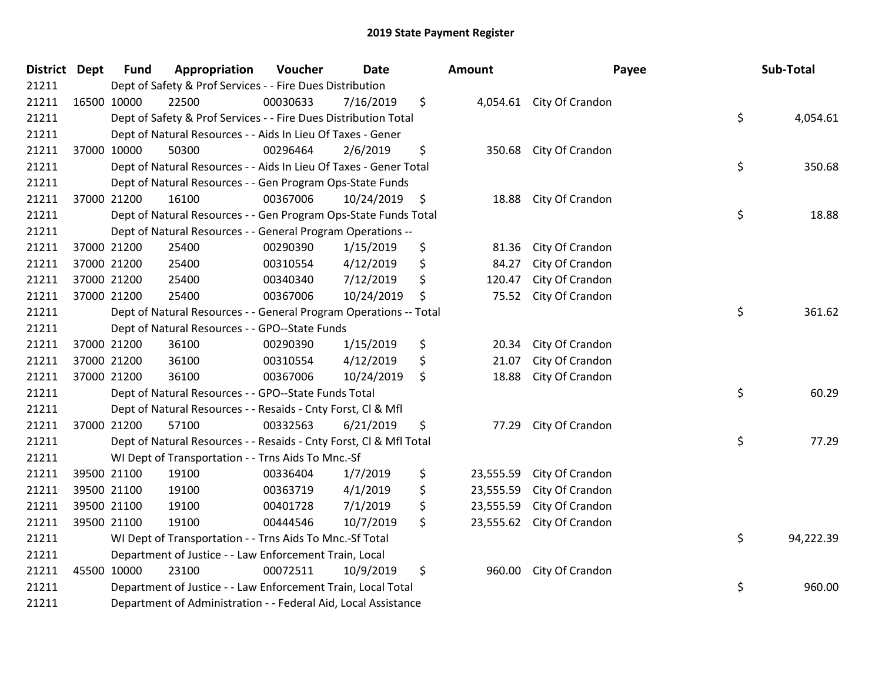| <b>District Dept</b> | <b>Fund</b> | Appropriation                                                      | Voucher  | <b>Date</b> |                      | <b>Amount</b> |                          | Payee | Sub-Total |
|----------------------|-------------|--------------------------------------------------------------------|----------|-------------|----------------------|---------------|--------------------------|-------|-----------|
| 21211                |             | Dept of Safety & Prof Services - - Fire Dues Distribution          |          |             |                      |               |                          |       |           |
| 21211                | 16500 10000 | 22500                                                              | 00030633 | 7/16/2019   | \$                   |               | 4,054.61 City Of Crandon |       |           |
| 21211                |             | Dept of Safety & Prof Services - - Fire Dues Distribution Total    |          |             |                      |               |                          | \$    | 4,054.61  |
| 21211                |             | Dept of Natural Resources - - Aids In Lieu Of Taxes - Gener        |          |             |                      |               |                          |       |           |
| 21211                | 37000 10000 | 50300                                                              | 00296464 | 2/6/2019    | \$                   | 350.68        | City Of Crandon          |       |           |
| 21211                |             | Dept of Natural Resources - - Aids In Lieu Of Taxes - Gener Total  |          |             |                      |               |                          | \$    | 350.68    |
| 21211                |             | Dept of Natural Resources - - Gen Program Ops-State Funds          |          |             |                      |               |                          |       |           |
| 21211                | 37000 21200 | 16100                                                              | 00367006 | 10/24/2019  | $\ddot{\phantom{1}}$ | 18.88         | City Of Crandon          |       |           |
| 21211                |             | Dept of Natural Resources - - Gen Program Ops-State Funds Total    |          |             |                      |               |                          | \$    | 18.88     |
| 21211                |             | Dept of Natural Resources - - General Program Operations --        |          |             |                      |               |                          |       |           |
| 21211                | 37000 21200 | 25400                                                              | 00290390 | 1/15/2019   | \$                   | 81.36         | City Of Crandon          |       |           |
| 21211                | 37000 21200 | 25400                                                              | 00310554 | 4/12/2019   | \$                   | 84.27         | City Of Crandon          |       |           |
| 21211                | 37000 21200 | 25400                                                              | 00340340 | 7/12/2019   | \$                   | 120.47        | City Of Crandon          |       |           |
| 21211                | 37000 21200 | 25400                                                              | 00367006 | 10/24/2019  | \$                   | 75.52         | City Of Crandon          |       |           |
| 21211                |             | Dept of Natural Resources - - General Program Operations -- Total  | \$       | 361.62      |                      |               |                          |       |           |
| 21211                |             | Dept of Natural Resources - - GPO--State Funds                     |          |             |                      |               |                          |       |           |
| 21211                | 37000 21200 | 36100                                                              | 00290390 | 1/15/2019   | \$                   | 20.34         | City Of Crandon          |       |           |
| 21211                | 37000 21200 | 36100                                                              | 00310554 | 4/12/2019   | \$                   | 21.07         | City Of Crandon          |       |           |
| 21211                | 37000 21200 | 36100                                                              | 00367006 | 10/24/2019  | \$                   | 18.88         | City Of Crandon          |       |           |
| 21211                |             | Dept of Natural Resources - - GPO--State Funds Total               |          |             |                      |               |                          | \$    | 60.29     |
| 21211                |             | Dept of Natural Resources - - Resaids - Cnty Forst, Cl & Mfl       |          |             |                      |               |                          |       |           |
| 21211                | 37000 21200 | 57100                                                              | 00332563 | 6/21/2019   | \$                   | 77.29         | City Of Crandon          |       |           |
| 21211                |             | Dept of Natural Resources - - Resaids - Cnty Forst, CI & Mfl Total |          |             |                      |               |                          | \$    | 77.29     |
| 21211                |             | WI Dept of Transportation - - Trns Aids To Mnc.-Sf                 |          |             |                      |               |                          |       |           |
| 21211                | 39500 21100 | 19100                                                              | 00336404 | 1/7/2019    | \$                   | 23,555.59     | City Of Crandon          |       |           |
| 21211                | 39500 21100 | 19100                                                              | 00363719 | 4/1/2019    | \$                   | 23,555.59     | City Of Crandon          |       |           |
| 21211                | 39500 21100 | 19100                                                              | 00401728 | 7/1/2019    | \$                   | 23,555.59     | City Of Crandon          |       |           |
| 21211                | 39500 21100 | 19100                                                              | 00444546 | 10/7/2019   | \$                   | 23,555.62     | City Of Crandon          |       |           |
| 21211                |             | WI Dept of Transportation - - Trns Aids To Mnc.-Sf Total           |          |             |                      |               |                          | \$    | 94,222.39 |
| 21211                |             | Department of Justice - - Law Enforcement Train, Local             |          |             |                      |               |                          |       |           |
| 21211                | 45500 10000 | 23100                                                              | 00072511 | 10/9/2019   | \$                   | 960.00        | City Of Crandon          |       |           |
| 21211                |             | Department of Justice - - Law Enforcement Train, Local Total       |          |             |                      |               |                          | \$    | 960.00    |
| 21211                |             | Department of Administration - - Federal Aid, Local Assistance     |          |             |                      |               |                          |       |           |